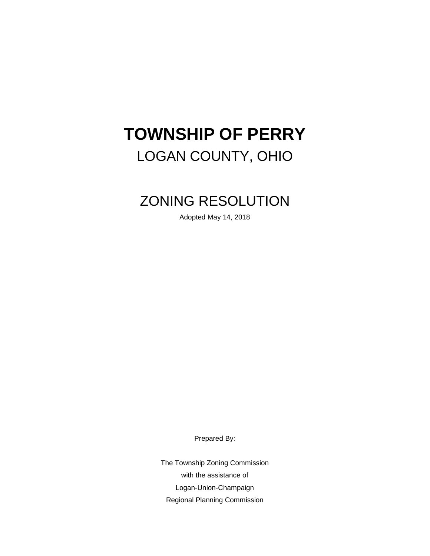# **TOWNSHIP OF PERRY** LOGAN COUNTY, OHIO

# ZONING RESOLUTION

Adopted May 14, 2018

Prepared By:

The Township Zoning Commission with the assistance of Logan-Union-Champaign Regional Planning Commission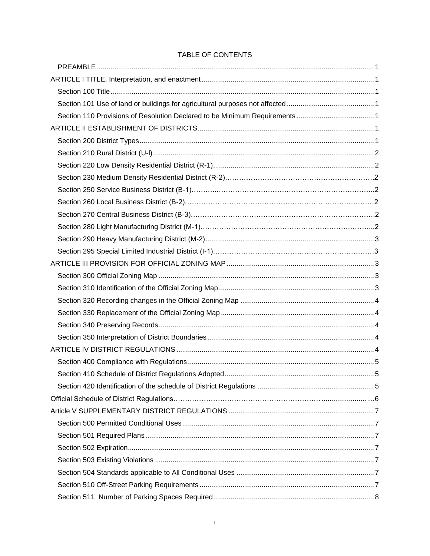# TABLE OF CONTENTS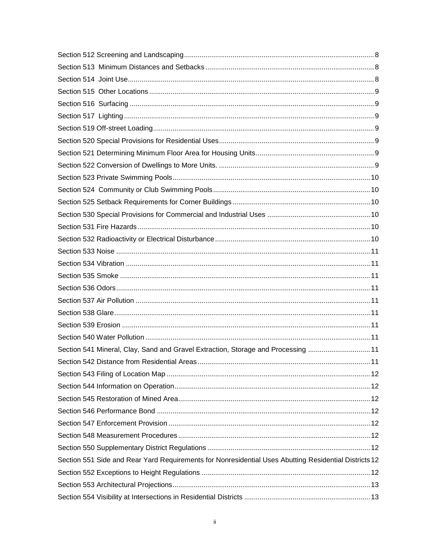| Section 541 Mineral, Clay, Sand and Gravel Extraction, Storage and Processing  11                     |  |
|-------------------------------------------------------------------------------------------------------|--|
|                                                                                                       |  |
|                                                                                                       |  |
|                                                                                                       |  |
|                                                                                                       |  |
|                                                                                                       |  |
|                                                                                                       |  |
|                                                                                                       |  |
|                                                                                                       |  |
| Section 551 Side and Rear Yard Requirements for Nonresidential Uses Abutting Residential Districts 12 |  |
|                                                                                                       |  |
|                                                                                                       |  |
|                                                                                                       |  |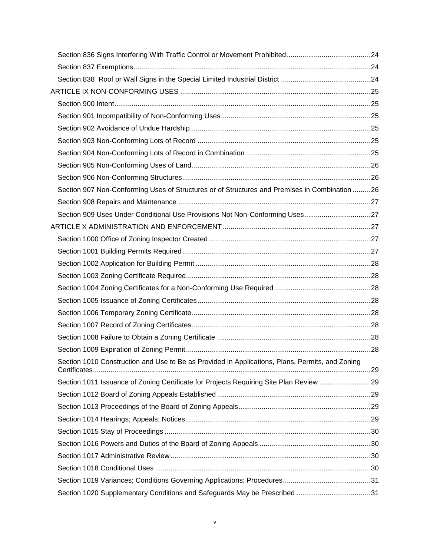| Section 907 Non-Conforming Uses of Structures or of Structures and Premises in Combination  26  |  |
|-------------------------------------------------------------------------------------------------|--|
|                                                                                                 |  |
| Section 909 Uses Under Conditional Use Provisions Not Non-Conforming Uses27                     |  |
|                                                                                                 |  |
|                                                                                                 |  |
|                                                                                                 |  |
|                                                                                                 |  |
|                                                                                                 |  |
|                                                                                                 |  |
|                                                                                                 |  |
|                                                                                                 |  |
|                                                                                                 |  |
|                                                                                                 |  |
|                                                                                                 |  |
| Section 1010 Construction and Use to Be as Provided in Applications, Plans, Permits, and Zoning |  |
| Section 1011 Issuance of Zoning Certificate for Projects Requiring Site Plan Review 29          |  |
|                                                                                                 |  |
|                                                                                                 |  |
|                                                                                                 |  |
|                                                                                                 |  |
|                                                                                                 |  |
|                                                                                                 |  |
|                                                                                                 |  |
|                                                                                                 |  |
| Section 1020 Supplementary Conditions and Safeguards May be Prescribed 31                       |  |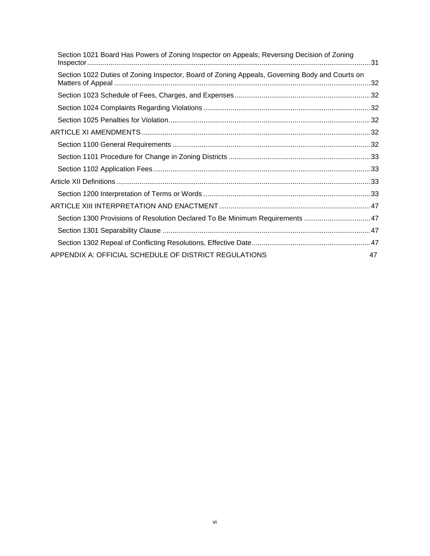| Section 1021 Board Has Powers of Zoning Inspector on Appeals; Reversing Decision of Zoning     |    |
|------------------------------------------------------------------------------------------------|----|
| Section 1022 Duties of Zoning Inspector, Board of Zoning Appeals, Governing Body and Courts on |    |
|                                                                                                |    |
|                                                                                                |    |
|                                                                                                |    |
|                                                                                                |    |
|                                                                                                |    |
|                                                                                                |    |
|                                                                                                |    |
|                                                                                                |    |
|                                                                                                |    |
|                                                                                                |    |
| Section 1300 Provisions of Resolution Declared To Be Minimum Requirements 47                   |    |
|                                                                                                |    |
|                                                                                                |    |
| APPENDIX A: OFFICIAL SCHEDULE OF DISTRICT REGULATIONS                                          | 47 |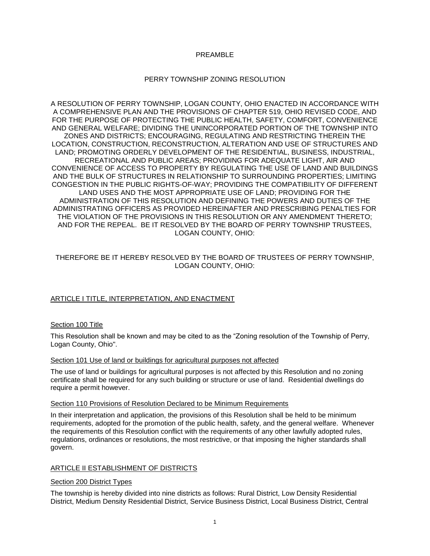# PREAMBLE

# PERRY TOWNSHIP ZONING RESOLUTION

A RESOLUTION OF PERRY TOWNSHIP, LOGAN COUNTY, OHIO ENACTED IN ACCORDANCE WITH A COMPREHENSIVE PLAN AND THE PROVISIONS OF CHAPTER 519, OHIO REVISED CODE, AND FOR THE PURPOSE OF PROTECTING THE PUBLIC HEALTH, SAFETY, COMFORT, CONVENIENCE AND GENERAL WELFARE; DIVIDING THE UNINCORPORATED PORTION OF THE TOWNSHIP INTO ZONES AND DISTRICTS; ENCOURAGING, REGULATING AND RESTRICTING THEREIN THE LOCATION, CONSTRUCTION, RECONSTRUCTION, ALTERATION AND USE OF STRUCTURES AND LAND; PROMOTING ORDERLY DEVELOPMENT OF THE RESIDENTIAL, BUSINESS, INDUSTRIAL, RECREATIONAL AND PUBLIC AREAS; PROVIDING FOR ADEQUATE LIGHT, AIR AND CONVENIENCE OF ACCESS TO PROPERTY BY REGULATING THE USE OF LAND AND BUILDINGS AND THE BULK OF STRUCTURES IN RELATIONSHIP TO SURROUNDING PROPERTIES; LIMITING CONGESTION IN THE PUBLIC RIGHTS-OF-WAY; PROVIDING THE COMPATIBILITY OF DIFFERENT LAND USES AND THE MOST APPROPRIATE USE OF LAND; PROVIDING FOR THE ADMINISTRATION OF THIS RESOLUTION AND DEFINING THE POWERS AND DUTIES OF THE ADMINISTRATING OFFICERS AS PROVIDED HEREINAFTER AND PRESCRIBING PENALTIES FOR THE VIOLATION OF THE PROVISIONS IN THIS RESOLUTION OR ANY AMENDMENT THERETO; AND FOR THE REPEAL. BE IT RESOLVED BY THE BOARD OF PERRY TOWNSHIP TRUSTEES, LOGAN COUNTY, OHIO:

# THEREFORE BE IT HEREBY RESOLVED BY THE BOARD OF TRUSTEES OF PERRY TOWNSHIP, LOGAN COUNTY, OHIO:

# ARTICLE I TITLE, INTERPRETATION, AND ENACTMENT

# Section 100 Title

This Resolution shall be known and may be cited to as the "Zoning resolution of the Township of Perry, Logan County, Ohio".

# Section 101 Use of land or buildings for agricultural purposes not affected

The use of land or buildings for agricultural purposes is not affected by this Resolution and no zoning certificate shall be required for any such building or structure or use of land. Residential dwellings do require a permit however.

# Section 110 Provisions of Resolution Declared to be Minimum Requirements

In their interpretation and application, the provisions of this Resolution shall be held to be minimum requirements, adopted for the promotion of the public health, safety, and the general welfare. Whenever the requirements of this Resolution conflict with the requirements of any other lawfully adopted rules, regulations, ordinances or resolutions, the most restrictive, or that imposing the higher standards shall govern.

# ARTICLE II ESTABLISHMENT OF DISTRICTS

# Section 200 District Types

The township is hereby divided into nine districts as follows: Rural District, Low Density Residential District, Medium Density Residential District, Service Business District, Local Business District, Central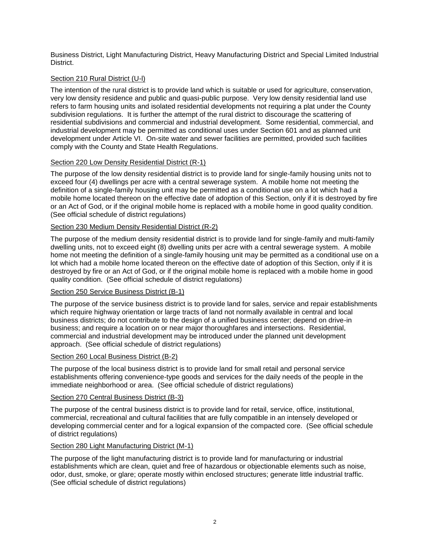Business District, Light Manufacturing District, Heavy Manufacturing District and Special Limited Industrial District.

# Section 210 Rural District (U-l)

The intention of the rural district is to provide land which is suitable or used for agriculture, conservation, very low density residence and public and quasi-public purpose. Very low density residential land use refers to farm housing units and isolated residential developments not requiring a plat under the County subdivision regulations. It is further the attempt of the rural district to discourage the scattering of residential subdivisions and commercial and industrial development. Some residential, commercial, and industrial development may be permitted as conditional uses under Section 601 and as planned unit development under Article VI. On-site water and sewer facilities are permitted, provided such facilities comply with the County and State Health Regulations.

# Section 220 Low Density Residential District (R-1)

The purpose of the low density residential district is to provide land for single-family housing units not to exceed four (4) dwellings per acre with a central sewerage system. A mobile home not meeting the definition of a single-family housing unit may be permitted as a conditional use on a lot which had a mobile home located thereon on the effective date of adoption of this Section, only if it is destroyed by fire or an Act of God, or if the original mobile home is replaced with a mobile home in good quality condition. (See official schedule of district regulations)

# Section 230 Medium Density Residential District (R-2)

The purpose of the medium density residential district is to provide land for single-family and multi-family dwelling units, not to exceed eight (8) dwelling units per acre with a central sewerage system. A mobile home not meeting the definition of a single-family housing unit may be permitted as a conditional use on a lot which had a mobile home located thereon on the effective date of adoption of this Section, only if it is destroyed by fire or an Act of God, or if the original mobile home is replaced with a mobile home in good quality condition. (See official schedule of district regulations)

# Section 250 Service Business District (B-1)

The purpose of the service business district is to provide land for sales, service and repair establishments which require highway orientation or large tracts of land not normally available in central and local business districts; do not contribute to the design of a unified business center; depend on drive-in business; and require a location on or near major thoroughfares and intersections. Residential, commercial and industrial development may be introduced under the planned unit development approach. (See official schedule of district regulations)

# Section 260 Local Business District (B-2)

The purpose of the local business district is to provide land for small retail and personal service establishments offering convenience-type goods and services for the daily needs of the people in the immediate neighborhood or area. (See official schedule of district regulations)

# Section 270 Central Business District (B-3)

The purpose of the central business district is to provide land for retail, service, office, institutional, commercial, recreational and cultural facilities that are fully compatible in an intensely developed or developing commercial center and for a logical expansion of the compacted core. (See official schedule of district regulations)

# Section 280 Light Manufacturing District (M-1)

The purpose of the light manufacturing district is to provide land for manufacturing or industrial establishments which are clean, quiet and free of hazardous or objectionable elements such as noise, odor, dust, smoke, or glare; operate mostly within enclosed structures; generate little industrial traffic. (See official schedule of district regulations)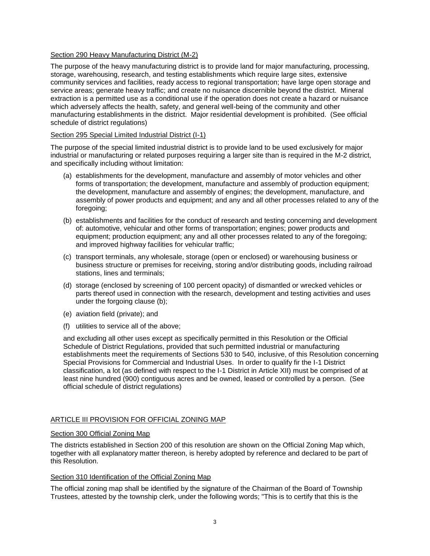# Section 290 Heavy Manufacturing District (M-2)

The purpose of the heavy manufacturing district is to provide land for major manufacturing, processing, storage, warehousing, research, and testing establishments which require large sites, extensive community services and facilities, ready access to regional transportation; have large open storage and service areas; generate heavy traffic; and create no nuisance discernible beyond the district. Mineral extraction is a permitted use as a conditional use if the operation does not create a hazard or nuisance which adversely affects the health, safety, and general well-being of the community and other manufacturing establishments in the district. Major residential development is prohibited. (See official schedule of district regulations)

# Section 295 Special Limited Industrial District (I-1)

The purpose of the special limited industrial district is to provide land to be used exclusively for major industrial or manufacturing or related purposes requiring a larger site than is required in the M-2 district, and specifically including without limitation:

- (a) establishments for the development, manufacture and assembly of motor vehicles and other forms of transportation; the development, manufacture and assembly of production equipment; the development, manufacture and assembly of engines; the development, manufacture, and assembly of power products and equipment; and any and all other processes related to any of the foregoing;
- (b) establishments and facilities for the conduct of research and testing concerning and development of: automotive, vehicular and other forms of transportation; engines; power products and equipment; production equipment; any and all other processes related to any of the foregoing; and improved highway facilities for vehicular traffic;
- (c) transport terminals, any wholesale, storage (open or enclosed) or warehousing business or business structure or premises for receiving, storing and/or distributing goods, including railroad stations, lines and terminals;
- (d) storage (enclosed by screening of 100 percent opacity) of dismantled or wrecked vehicles or parts thereof used in connection with the research, development and testing activities and uses under the forgoing clause (b);
- (e) aviation field (private); and
- (f) utilities to service all of the above;

and excluding all other uses except as specifically permitted in this Resolution or the Official Schedule of District Regulations, provided that such permitted industrial or manufacturing establishments meet the requirements of Sections 530 to 540, inclusive, of this Resolution concerning Special Provisions for Commercial and Industrial Uses. In order to qualify fir the I-1 District classification, a lot (as defined with respect to the I-1 District in Article XII) must be comprised of at least nine hundred (900) contiguous acres and be owned, leased or controlled by a person. (See official schedule of district regulations)

# ARTICLE III PROVISION FOR OFFICIAL ZONING MAP

# Section 300 Official Zoning Map

The districts established in Section 200 of this resolution are shown on the Official Zoning Map which, together with all explanatory matter thereon, is hereby adopted by reference and declared to be part of this Resolution.

# Section 310 Identification of the Official Zoning Map

The official zoning map shall be identified by the signature of the Chairman of the Board of Township Trustees, attested by the township clerk, under the following words; "This is to certify that this is the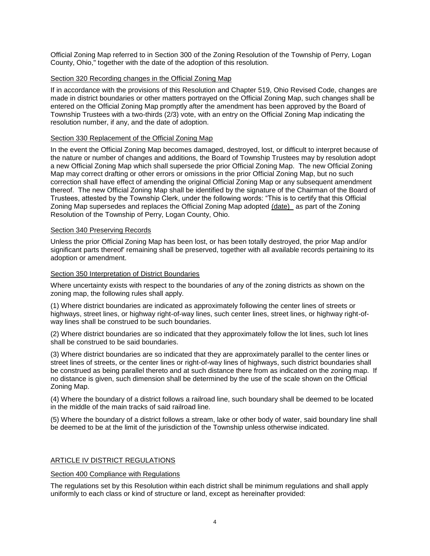Official Zoning Map referred to in Section 300 of the Zoning Resolution of the Township of Perry, Logan County, Ohio," together with the date of the adoption of this resolution.

# Section 320 Recording changes in the Official Zoning Map

If in accordance with the provisions of this Resolution and Chapter 519, Ohio Revised Code, changes are made in district boundaries or other matters portrayed on the Official Zoning Map, such changes shall be entered on the Official Zoning Map promptly after the amendment has been approved by the Board of Township Trustees with a two-thirds (2/3) vote, with an entry on the Official Zoning Map indicating the resolution number, if any, and the date of adoption.

# Section 330 Replacement of the Official Zoning Map

In the event the Official Zoning Map becomes damaged, destroyed, lost, or difficult to interpret because of the nature or number of changes and additions, the Board of Township Trustees may by resolution adopt a new Official Zoning Map which shall supersede the prior Official Zoning Map. The new Official Zoning Map may correct drafting or other errors or omissions in the prior Official Zoning Map, but no such correction shall have effect of amending the original Official Zoning Map or any subsequent amendment thereof. The new Official Zoning Map shall be identified by the signature of the Chairman of the Board of Trustees, attested by the Township Clerk, under the following words: "This is to certify that this Official Zoning Map supersedes and replaces the Official Zoning Map adopted (date) as part of the Zoning Resolution of the Township of Perry, Logan County, Ohio.

#### Section 340 Preserving Records

Unless the prior Official Zoning Map has been lost, or has been totally destroyed, the prior Map and/or significant parts thereof' remaining shall be preserved, together with all available records pertaining to its adoption or amendment.

# Section 350 Interpretation of District Boundaries

Where uncertainty exists with respect to the boundaries of any of the zoning districts as shown on the zoning map, the following rules shall apply.

(1) Where district boundaries are indicated as approximately following the center lines of streets or highways, street lines, or highway right-of-way lines, such center lines, street lines, or highway right-ofway lines shall be construed to be such boundaries.

(2) Where district boundaries are so indicated that they approximately follow the lot lines, such lot lines shall be construed to be said boundaries.

(3) Where district boundaries are so indicated that they are approximately parallel to the center lines or street lines of streets, or the center lines or right-of-way lines of highways, such district boundaries shall be construed as being parallel thereto and at such distance there from as indicated on the zoning map. If no distance is given, such dimension shall be determined by the use of the scale shown on the Official Zoning Map.

(4) Where the boundary of a district follows a railroad line, such boundary shall be deemed to be located in the middle of the main tracks of said railroad line.

(5) Where the boundary of a district follows a stream, lake or other body of water, said boundary line shall be deemed to be at the limit of the jurisdiction of the Township unless otherwise indicated.

# ARTICLE IV DISTRICT REGULATIONS

# Section 400 Compliance with Regulations

The regulations set by this Resolution within each district shall be minimum regulations and shall apply uniformly to each class or kind of structure or land, except as hereinafter provided: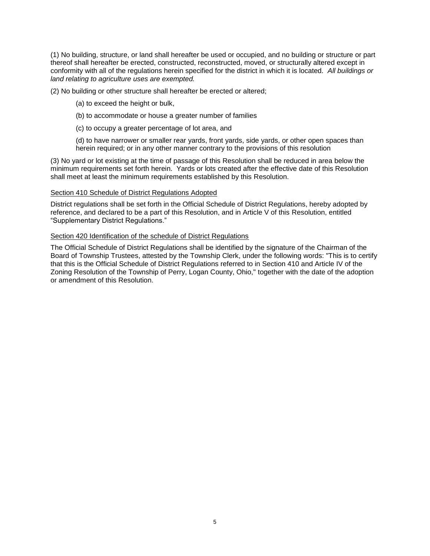(1) No building, structure, or land shall hereafter be used or occupied, and no building or structure or part thereof shall hereafter be erected, constructed, reconstructed, moved, or structurally altered except in conformity with all of the regulations herein specified for the district in which it is located. *All buildings or land relating to agriculture uses are exempted.*

(2) No building or other structure shall hereafter be erected or altered;

(a) to exceed the height or bulk,

- (b) to accommodate or house a greater number of families
- (c) to occupy a greater percentage of lot area, and

(d) to have narrower or smaller rear yards, front yards, side yards, or other open spaces than herein required; or in any other manner contrary to the provisions of this resolution

(3) No yard or lot existing at the time of passage of this Resolution shall be reduced in area below the minimum requirements set forth herein. Yards or lots created after the effective date of this Resolution shall meet at least the minimum requirements established by this Resolution.

#### Section 410 Schedule of District Regulations Adopted

District regulations shall be set forth in the Official Schedule of District Regulations, hereby adopted by reference, and declared to be a part of this Resolution, and in Article V of this Resolution, entitled "Supplementary District Regulations."

#### Section 420 Identification of the schedule of District Regulations

The Official Schedule of District Regulations shall be identified by the signature of the Chairman of the Board of Township Trustees, attested by the Township Clerk, under the following words: "This is to certify that this is the Official Schedule of District Regulations referred to in Section 410 and Article IV of the Zoning Resolution of the Township of Perry, Logan County, Ohio," together with the date of the adoption or amendment of this Resolution.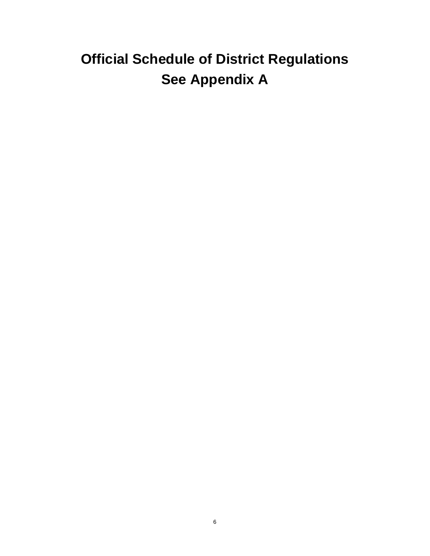# **Official Schedule of District Regulations See Appendix A**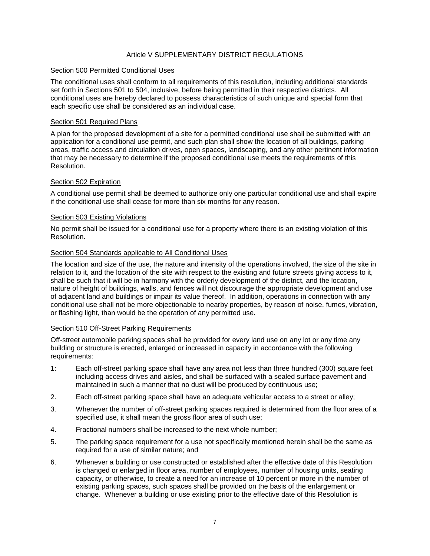# Article V SUPPLEMENTARY DISTRICT REGULATIONS

#### Section 500 Permitted Conditional Uses

The conditional uses shall conform to all requirements of this resolution, including additional standards set forth in Sections 501 to 504, inclusive, before being permitted in their respective districts. All conditional uses are hereby declared to possess characteristics of such unique and special form that each specific use shall be considered as an individual case.

#### Section 501 Required Plans

A plan for the proposed development of a site for a permitted conditional use shall be submitted with an application for a conditional use permit, and such plan shall show the location of all buildings, parking areas, traffic access and circulation drives, open spaces, landscaping, and any other pertinent information that may be necessary to determine if the proposed conditional use meets the requirements of this Resolution.

# Section 502 Expiration

A conditional use permit shall be deemed to authorize only one particular conditional use and shall expire if the conditional use shall cease for more than six months for any reason.

#### Section 503 Existing Violations

No permit shall be issued for a conditional use for a property where there is an existing violation of this Resolution.

#### Section 504 Standards applicable to All Conditional Uses

The location and size of the use, the nature and intensity of the operations involved, the size of the site in relation to it, and the location of the site with respect to the existing and future streets giving access to it, shall be such that it will be in harmony with the orderly development of the district, and the location, nature of height of buildings, walls, and fences will not discourage the appropriate development and use of adjacent land and buildings or impair its value thereof. In addition, operations in connection with any conditional use shall not be more objectionable to nearby properties, by reason of noise, fumes, vibration, or flashing light, than would be the operation of any permitted use.

#### Section 510 Off-Street Parking Requirements

Off-street automobile parking spaces shall be provided for every land use on any lot or any time any building or structure is erected, enlarged or increased in capacity in accordance with the following requirements:

- 1: Each off-street parking space shall have any area not less than three hundred (300) square feet including access drives and aisles, and shall be surfaced with a sealed surface pavement and maintained in such a manner that no dust will be produced by continuous use;
- 2. Each off-street parking space shall have an adequate vehicular access to a street or alley;
- 3. Whenever the number of off-street parking spaces required is determined from the floor area of a specified use, it shall mean the gross floor area of such use;
- 4. Fractional numbers shall be increased to the next whole number;
- 5. The parking space requirement for a use not specifically mentioned herein shall be the same as required for a use of similar nature; and
- 6. Whenever a building or use constructed or established after the effective date of this Resolution is changed or enlarged in floor area, number of employees, number of housing units, seating capacity, or otherwise, to create a need for an increase of 10 percent or more in the number of existing parking spaces, such spaces shall be provided on the basis of the enlargement or change. Whenever a building or use existing prior to the effective date of this Resolution is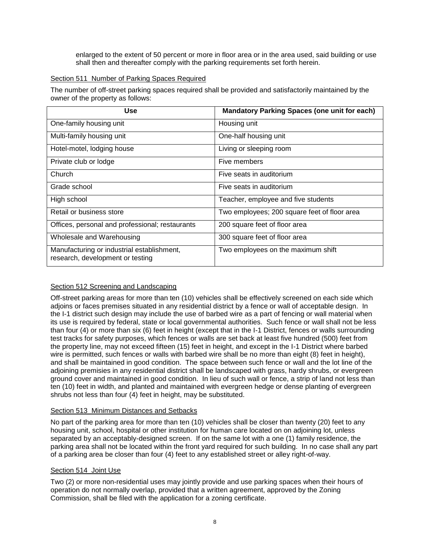enlarged to the extent of 50 percent or more in floor area or in the area used, said building or use shall then and thereafter comply with the parking requirements set forth herein.

# Section 511 Number of Parking Spaces Required

The number of off-street parking spaces required shall be provided and satisfactorily maintained by the owner of the property as follows:

| Use                                                                            | <b>Mandatory Parking Spaces (one unit for each)</b> |
|--------------------------------------------------------------------------------|-----------------------------------------------------|
| One-family housing unit                                                        | Housing unit                                        |
| Multi-family housing unit                                                      | One-half housing unit                               |
| Hotel-motel, lodging house                                                     | Living or sleeping room                             |
| Private club or lodge                                                          | Five members                                        |
| Church                                                                         | Five seats in auditorium                            |
| Grade school                                                                   | Five seats in auditorium                            |
| High school                                                                    | Teacher, employee and five students                 |
| Retail or business store                                                       | Two employees; 200 square feet of floor area        |
| Offices, personal and professional; restaurants                                | 200 square feet of floor area                       |
| Wholesale and Warehousing                                                      | 300 square feet of floor area                       |
| Manufacturing or industrial establishment,<br>research, development or testing | Two employees on the maximum shift                  |

# Section 512 Screening and Landscaping

Off-street parking areas for more than ten (10) vehicles shall be effectively screened on each side which adjoins or faces premises situated in any residential district by a fence or wall of acceptable design. In the I-1 district such design may include the use of barbed wire as a part of fencing or wall material when its use is required by federal, state or local governmental authorities. Such fence or wall shall not be less than four (4) or more than six (6) feet in height (except that in the I-1 District, fences or walls surrounding test tracks for safety purposes, which fences or walls are set back at least five hundred (500) feet from the property line, may not exceed fifteen (15) feet in height, and except in the I-1 District where barbed wire is permitted, such fences or walls with barbed wire shall be no more than eight (8) feet in height), and shall be maintained in good condition. The space between such fence or wall and the lot line of the adjoining premisies in any residential district shall be landscaped with grass, hardy shrubs, or evergreen ground cover and maintained in good condition. In lieu of such wall or fence, a strip of land not less than ten (10) feet in width, and planted and maintained with evergreen hedge or dense planting of evergreen shrubs not less than four (4) feet in height, may be substituted.

# Section 513 Minimum Distances and Setbacks

No part of the parking area for more than ten (10) vehicles shall be closer than twenty (20) feet to any housing unit, school, hospital or other institution for human care located on on adjoining lot, unless separated by an acceptably-designed screen. If on the same lot with a one (1) family residence, the parking area shall not be located within the front yard required for such building. In no case shall any part of a parking area be closer than four (4) feet to any established street or alley right-of-way.

# Section 514 Joint Use

Two (2) or more non-residential uses may jointly provide and use parking spaces when their hours of operation do not normally overlap, provided that a written agreement, approved by the Zoning Commission, shall be filed with the application for a zoning certificate.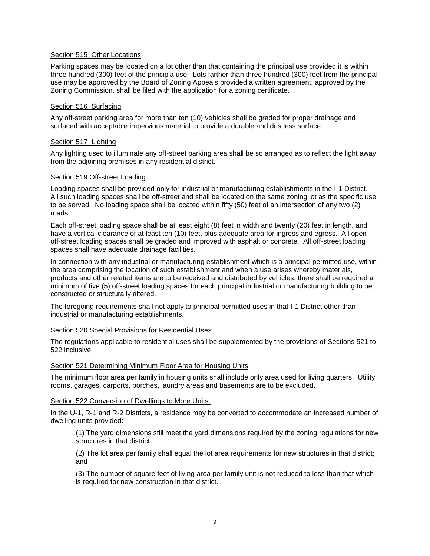# Section 515 Other Locations

Parking spaces may be located on a lot other than that containing the principal use provided it is within three hundred (300) feet of the principla use. Lots farther than three hundred (300) feet from the principal use may be approved by the Board of Zoning Appeals provided a written agreement, approved by the Zoning Commission, shall be filed with the application for a zoning certificate.

# Section 516 Surfacing

Any off-street parking area for more than ten (10) vehicles shall be graded for proper drainage and surfaced with acceptable impervious material to provide a durable and dustless surface.

# Section 517 Lighting

Any lighting used to illuminate any off-street parking area shall be so arranged as to reflect the light away from the adjoining premises in any residential district.

# Section 519 Off-street Loading

Loading spaces shall be provided only for industrial or manufacturing establishments in the I-1 District. All such loading spaces shall be off-street and shall be located on the same zoning lot as the specific use to be served. No loading space shall be located within fifty (50) feet of an intersection of any two (2) roads.

Each off-street loading space shall be at least eight (8) feet in width and twenty (20) feet in length, and have a vertical clearance of at least ten (10) feet, plus adequate area for ingress and egress. All open off-street loading spaces shall be graded and improved with asphalt or concrete. All off-street loading spaces shall have adequate drainage facilities.

In connection with any industrial or manufacturing establishment which is a principal permitted use, within the area comprising the location of such establishment and when a use arises whereby materials, products and other related items are to be received and distributed by vehicles, there shall be required a minimum of five (5) off-street loading spaces for each principal industrial or manufacturing building to be constructed or structurally altered.

The foregoing requirements shall not apply to principal permitted uses in that I-1 District other than industrial or manufacturing establishments.

# Section 520 Special Provisions for Residential Uses

The regulations applicable to residential uses shall be supplemented by the provisions of Sections 521 to 522 inclusive.

# Section 521 Determining Minimum Floor Area for Housing Units

The minimum floor area per family in housing units shall include only area used for living quarters. Utility rooms, garages, carports, porches, laundry areas and basements are to be excluded.

# Section 522 Conversion of Dwellings to More Units.

In the U-1, R-1 and R-2 Districts, a residence may be converted to accommodate an increased number of dwelling units provided:

(1) The yard dimensions still meet the yard dimensions required by the zoning regulations for new structures in that district;

(2) The lot area per family shall equal the lot area requirements for new structures in that district; and

(3) The number of square feet of living area per family unit is not reduced to less than that which is required for new construction in that district.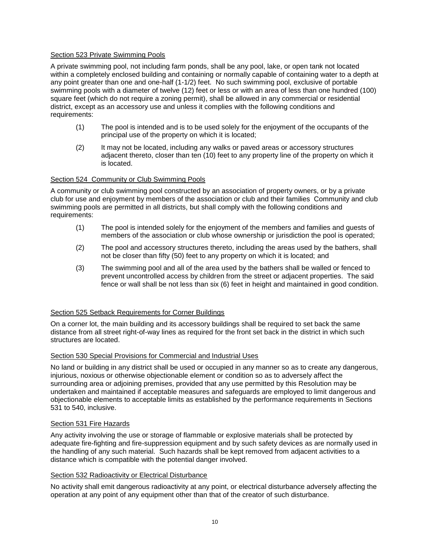# Section 523 Private Swimming Pools

A private swimming pool, not including farm ponds, shall be any pool, lake, or open tank not located within a completely enclosed building and containing or normally capable of containing water to a depth at any point greater than one and one-half (1-1/2) feet. No such swimming pool, exclusive of portable swimming pools with a diameter of twelve (12) feet or less or with an area of less than one hundred (100) square feet (which do not require a zoning permit), shall be allowed in any commercial or residential district, except as an accessory use and unless it complies with the following conditions and requirements:

- (1) The pool is intended and is to be used solely for the enjoyment of the occupants of the principal use of the property on which it is located;
- (2) It may not be located, including any walks or paved areas or accessory structures adjacent thereto, closer than ten (10) feet to any property line of the property on which it is located.

# Section 524 Community or Club Swimming Pools

A community or club swimming pool constructed by an association of property owners, or by a private club for use and enjoyment by members of the association or club and their families Community and club swimming pools are permitted in all districts, but shall comply with the following conditions and requirements:

- (1) The pool is intended solely for the enjoyment of the members and families and guests of members of the association or club whose ownership or jurisdiction the pool is operated;
- (2) The pool and accessory structures thereto, including the areas used by the bathers, shall not be closer than fifty (50) feet to any property on which it is located; and
- (3) The swimming pool and all of the area used by the bathers shall be walled or fenced to prevent uncontrolled access by children from the street or adjacent properties. The said fence or wall shall be not less than six (6) feet in height and maintained in good condition.

# Section 525 Setback Requirements for Corner Buildings

On a corner lot, the main building and its accessory buildings shall be required to set back the same distance from all street right-of-way lines as required for the front set back in the district in which such structures are located.

# Section 530 Special Provisions for Commercial and Industrial Uses

No land or building in any district shall be used or occupied in any manner so as to create any dangerous, injurious, noxious or otherwise objectionable element or condition so as to adversely affect the surrounding area or adjoining premises, provided that any use permitted by this Resolution may be undertaken and maintained if acceptable measures and safeguards are employed to limit dangerous and objectionable elements to acceptable limits as established by the performance requirements in Sections 531 to 540, inclusive.

# Section 531 Fire Hazards

Any activity involving the use or storage of flammable or explosive materials shall be protected by adequate fire-fighting and fire-suppression equipment and by such safety devices as are normally used in the handling of any such material. Such hazards shall be kept removed from adjacent activities to a distance which is compatible with the potential danger involved.

# Section 532 Radioactivity or Electrical Disturbance

No activity shall emit dangerous radioactivity at any point, or electrical disturbance adversely affecting the operation at any point of any equipment other than that of the creator of such disturbance.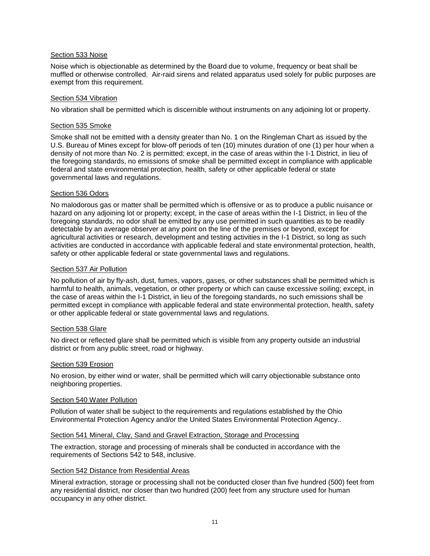# Section 533 Noise

Noise which is objectionable as determined by the Board due to volume, frequency or beat shall be muffled or otherwise controlled. Air-raid sirens and related apparatus used solely for public purposes are exempt from this requirement.

# Section 534 Vibration

No vibration shall be permitted which is discernible without instruments on any adjoining lot or property.

# Section 535 Smoke

Smoke shall not be emitted with a density greater than No. 1 on the Ringleman Chart as issued by the U.S. Bureau of Mines except for blow-off periods of ten (10) minutes duration of one (1) per hour when a density of not more than No. 2 is permitted; except, in the case of areas within the I-1 District, in lieu of the foregoing standards, no emissions of smoke shall be permitted except in compliance with applicable federal and state environmental protection, health, safety or other applicable federal or state governmental laws and regulations.

# Section 536 Odors

No malodorous gas or matter shall be permitted which is offensive or as to produce a public nuisance or hazard on any adjoining lot or property; except, in the case of areas within the I-1 District, in lieu of the foregoing standards, no odor shall be emitted by any use permitted in such quantities as to be readily detectable by an average observer at any point on the line of the premises or beyond, except for agricultural activities or research, development and testing activities in the I-1 District, so long as such activities are conducted in accordance with applicable federal and state environmental protection, health, safety or other applicable federal or state governmental laws and regulations.

# Section 537 Air Pollution

No pollution of air by fly-ash, dust, fumes, vapors, gases, or other substances shall be permitted which is harmful to health, animals, vegetation, or other property or which can cause excessive soiling; except, in the case of areas within the I-1 District, in lieu of the foregoing standards, no such emissions shall be permitted except in compliance with applicable federal and state environmental protection, health, safety or other applicable federal or state governmental laws and regulations.

# Section 538 Glare

No direct or reflected glare shall be permitted which is visible from any property outside an industrial district or from any public street, road or highway.

# Section 539 Erosion

No erosion, by either wind or water, shall be permitted which will carry objectionable substance onto neighboring properties.

# Section 540 Water Pollution

Pollution of water shall be subject to the requirements and regulations established by the Ohio Environmental Protection Agency and/or the United States Environmental Protection Agency..

# Section 541 Mineral, Clay, Sand and Gravel Extraction, Storage and Processing

The extraction, storage and processing of minerals shall be conducted in accordance with the requirements of Sections 542 to 548, inclusive.

# Section 542 Distance from Residential Areas

Mineral extraction, storage or processing shall not be conducted closer than five hundred (500) feet from any residential district, nor closer than two hundred (200) feet from any structure used for human occupancy in any other district.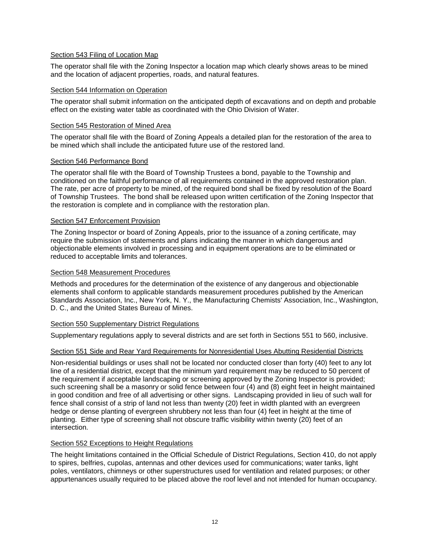# Section 543 Filing of Location Map

The operator shall file with the Zoning Inspector a location map which clearly shows areas to be mined and the location of adjacent properties, roads, and natural features.

#### Section 544 Information on Operation

The operator shall submit information on the anticipated depth of excavations and on depth and probable effect on the existing water table as coordinated with the Ohio Division of Water.

# Section 545 Restoration of Mined Area

The operator shall file with the Board of Zoning Appeals a detailed plan for the restoration of the area to be mined which shall include the anticipated future use of the restored land.

#### Section 546 Performance Bond

The operator shall file with the Board of Township Trustees a bond, payable to the Township and conditioned on the faithful performance of all requirements contained in the approved restoration plan. The rate, per acre of property to be mined, of the required bond shall be fixed by resolution of the Board of Township Trustees. The bond shall be released upon written certification of the Zoning Inspector that the restoration is complete and in compliance with the restoration plan.

#### Section 547 Enforcement Provision

The Zoning Inspector or board of Zoning Appeals, prior to the issuance of a zoning certificate, may require the submission of statements and plans indicating the manner in which dangerous and objectionable elements involved in processing and in equipment operations are to be eliminated or reduced to acceptable limits and tolerances.

#### Section 548 Measurement Procedures

Methods and procedures for the determination of the existence of any dangerous and objectionable elements shall conform to applicable standards measurement procedures published by the American Standards Association, Inc., New York, N. Y., the Manufacturing Chemists' Association, Inc., Washington, D. C., and the United States Bureau of Mines.

#### Section 550 Supplementary District Regulations

Supplementary regulations apply to several districts and are set forth in Sections 551 to 560, inclusive.

# Section 551 Side and Rear Yard Requirements for Nonresidential Uses Abutting Residential Districts

Non-residential buildings or uses shall not be located nor conducted closer than forty (40) feet to any lot line of a residential district, except that the minimum yard requirement may be reduced to 50 percent of the requirement if acceptable landscaping or screening approved by the Zoning Inspector is provided; such screening shall be a masonry or solid fence between four (4) and (8) eight feet in height maintained in good condition and free of all advertising or other signs. Landscaping provided in lieu of such wall for fence shall consist of a strip of land not less than twenty (20) feet in width planted with an evergreen hedge or dense planting of evergreen shrubbery not less than four (4) feet in height at the time of planting. Either type of screening shall not obscure traffic visibility within twenty (20) feet of an intersection.

# Section 552 Exceptions to Height Regulations

The height limitations contained in the Official Schedule of District Regulations, Section 410, do not apply to spires, belfries, cupolas, antennas and other devices used for communications; water tanks, light poles, ventilators, chimneys or other superstructures used for ventilation and related purposes; or other appurtenances usually required to be placed above the roof level and not intended for human occupancy.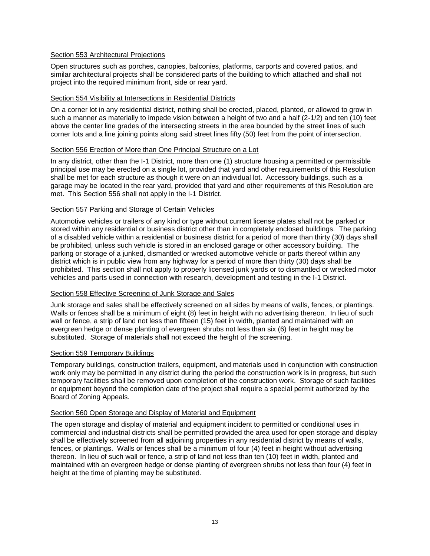# Section 553 Architectural Projections

Open structures such as porches, canopies, balconies, platforms, carports and covered patios, and similar architectural projects shall be considered parts of the building to which attached and shall not project into the required minimum front, side or rear yard.

# Section 554 Visibility at Intersections in Residential Districts

On a corner lot in any residential district, nothing shall be erected, placed, planted, or allowed to grow in such a manner as materially to impede vision between a height of two and a half (2-1/2) and ten (10) feet above the center line grades of the intersecting streets in the area bounded by the street lines of such corner lots and a line joining points along said street lines fifty (50) feet from the point of intersection.

# Section 556 Erection of More than One Principal Structure on a Lot

In any district, other than the I-1 District, more than one (1) structure housing a permitted or permissible principal use may be erected on a single lot, provided that yard and other requirements of this Resolution shall be met for each structure as though it were on an individual lot. Accessory buildings, such as a garage may be located in the rear yard, provided that yard and other requirements of this Resolution are met. This Section 556 shall not apply in the I-1 District.

# Section 557 Parking and Storage of Certain Vehicles

Automotive vehicles or trailers of any kind or type without current license plates shall not be parked or stored within any residential or business district other than in completely enclosed buildings. The parking of a disabled vehicle within a residential or business district for a period of more than thirty (30) days shall be prohibited, unless such vehicle is stored in an enclosed garage or other accessory building. The parking or storage of a junked, dismantled or wrecked automotive vehicle or parts thereof within any district which is in public view from any highway for a period of more than thirty (30) days shall be prohibited. This section shall not apply to properly licensed junk yards or to dismantled or wrecked motor vehicles and parts used in connection with research, development and testing in the I-1 District.

# Section 558 Effective Screening of Junk Storage and Sales

Junk storage and sales shall be effectively screened on all sides by means of walls, fences, or plantings. Walls or fences shall be a minimum of eight (8) feet in height with no advertising thereon. In lieu of such wall or fence, a strip of land not less than fifteen (15) feet in width, planted and maintained with an evergreen hedge or dense planting of evergreen shrubs not less than six (6) feet in height may be substituted. Storage of materials shall not exceed the height of the screening.

# Section 559 Temporary Buildings

Temporary buildings, construction trailers, equipment, and materials used in conjunction with construction work only may be permitted in any district during the period the construction work is in progress, but such temporary facilities shall be removed upon completion of the construction work. Storage of such facilities or equipment beyond the completion date of the project shall require a special permit authorized by the Board of Zoning Appeals.

# Section 560 Open Storage and Display of Material and Equipment

The open storage and display of material and equipment incident to permitted or conditional uses in commercial and industrial districts shall be permitted provided the area used for open storage and display shall be effectively screened from all adjoining properties in any residential district by means of walls, fences, or plantings. Walls or fences shall be a minimum of four (4) feet in height without advertising thereon. In lieu of such wall or fence, a strip of land not less than ten (10) feet in width, planted and maintained with an evergreen hedge or dense planting of evergreen shrubs not less than four (4) feet in height at the time of planting may be substituted.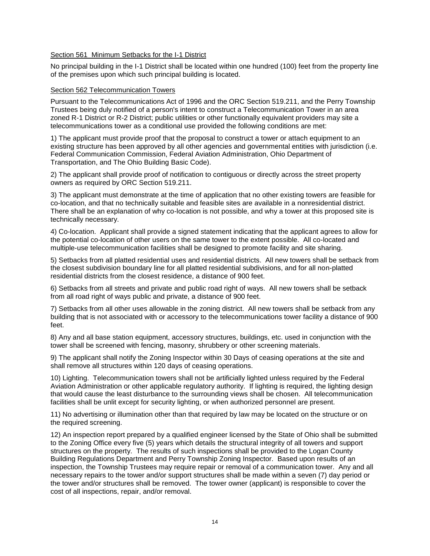# Section 561 Minimum Setbacks for the I-1 District

No principal building in the I-1 District shall be located within one hundred (100) feet from the property line of the premises upon which such principal building is located.

#### Section 562 Telecommunication Towers

Pursuant to the Telecommunications Act of 1996 and the ORC Section 519.211, and the Perry Township Trustees being duly notified of a person's intent to construct a Telecommunication Tower in an area zoned R-1 District or R-2 District; public utilities or other functionally equivalent providers may site a telecommunications tower as a conditional use provided the following conditions are met:

1) The applicant must provide proof that the proposal to construct a tower or attach equipment to an existing structure has been approved by all other agencies and governmental entities with jurisdiction (i.e. Federal Communication Commission, Federal Aviation Administration, Ohio Department of Transportation, and The Ohio Building Basic Code).

2) The applicant shall provide proof of notification to contiguous or directly across the street property owners as required by ORC Section 519.211.

3) The applicant must demonstrate at the time of application that no other existing towers are feasible for co-location, and that no technically suitable and feasible sites are available in a nonresidential district. There shall be an explanation of why co-location is not possible, and why a tower at this proposed site is technically necessary.

4) Co-location. Applicant shall provide a signed statement indicating that the applicant agrees to allow for the potential co-location of other users on the same tower to the extent possible. All co-located and multiple-use telecommunication facilities shall be designed to promote facility and site sharing.

5) Setbacks from all platted residential uses and residential districts. All new towers shall be setback from the closest subdivision boundary line for all platted residential subdivisions, and for all non-platted residential districts from the closest residence, a distance of 900 feet.

6) Setbacks from all streets and private and public road right of ways. All new towers shall be setback from all road right of ways public and private, a distance of 900 feet.

7) Setbacks from all other uses allowable in the zoning district. All new towers shall be setback from any building that is not associated with or accessory to the telecommunications tower facility a distance of 900 feet.

8) Any and all base station equipment, accessory structures, buildings, etc. used in conjunction with the tower shall be screened with fencing, masonry, shrubbery or other screening materials.

9) The applicant shall notify the Zoning Inspector within 30 Days of ceasing operations at the site and shall remove all structures within 120 days of ceasing operations.

10) Lighting. Telecommunication towers shall not be artificially lighted unless required by the Federal Aviation Administration or other applicable regulatory authority. If lighting is required, the lighting design that would cause the least disturbance to the surrounding views shall be chosen. All telecommunication facilities shall be unlit except for security lighting, or when authorized personnel are present.

11) No advertising or illumination other than that required by law may be located on the structure or on the required screening.

12) An inspection report prepared by a qualified engineer licensed by the State of Ohio shall be submitted to the Zoning Office every five (5) years which details the structural integrity of all towers and support structures on the property. The results of such inspections shall be provided to the Logan County Building Regulations Department and Perry Township Zoning Inspector. Based upon results of an inspection, the Township Trustees may require repair or removal of a communication tower. Any and all necessary repairs to the tower and/or support structures shall be made within a seven (7) day period or the tower and/or structures shall be removed. The tower owner (applicant) is responsible to cover the cost of all inspections, repair, and/or removal.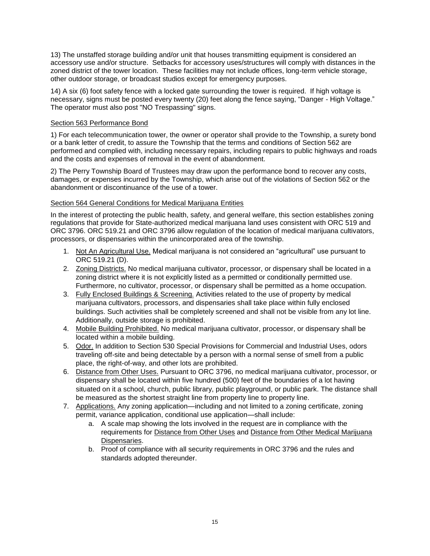13) The unstaffed storage building and/or unit that houses transmitting equipment is considered an accessory use and/or structure. Setbacks for accessory uses/structures will comply with distances in the zoned district of the tower location. These facilities may not include offices, long-term vehicle storage, other outdoor storage, or broadcast studios except for emergency purposes.

14) A six (6) foot safety fence with a locked gate surrounding the tower is required. If high voltage is necessary, signs must be posted every twenty (20) feet along the fence saying, "Danger - High Voltage." The operator must also post "NO Trespassing" signs.

# Section 563 Performance Bond

1) For each telecommunication tower, the owner or operator shall provide to the Township, a surety bond or a bank letter of credit, to assure the Township that the terms and conditions of Section 562 are performed and complied with, including necessary repairs, including repairs to public highways and roads and the costs and expenses of removal in the event of abandonment.

2) The Perry Township Board of Trustees may draw upon the performance bond to recover any costs, damages, or expenses incurred by the Township, which arise out of the violations of Section 562 or the abandonment or discontinuance of the use of a tower.

# Section 564 General Conditions for Medical Marijuana Entities

In the interest of protecting the public health, safety, and general welfare, this section establishes zoning regulations that provide for State-authorized medical marijuana land uses consistent with ORC 519 and ORC 3796. ORC 519.21 and ORC 3796 allow regulation of the location of medical marijuana cultivators, processors, or dispensaries within the unincorporated area of the township.

- 1. Not An Agricultural Use. Medical marijuana is not considered an "agricultural" use pursuant to ORC 519.21 (D).
- 2. Zoning Districts. No medical marijuana cultivator, processor, or dispensary shall be located in a zoning district where it is not explicitly listed as a permitted or conditionally permitted use. Furthermore, no cultivator, processor, or dispensary shall be permitted as a home occupation.
- 3. Fully Enclosed Buildings & Screening. Activities related to the use of property by medical marijuana cultivators, processors, and dispensaries shall take place within fully enclosed buildings. Such activities shall be completely screened and shall not be visible from any lot line. Additionally, outside storage is prohibited.
- 4. Mobile Building Prohibited. No medical marijuana cultivator, processor, or dispensary shall be located within a mobile building.
- 5. Odor. In addition to Section 530 Special Provisions for Commercial and Industrial Uses, odors traveling off-site and being detectable by a person with a normal sense of smell from a public place, the right-of-way, and other lots are prohibited.
- 6. Distance from Other Uses. Pursuant to ORC 3796, no medical marijuana cultivator, processor, or dispensary shall be located within five hundred (500) feet of the boundaries of a lot having situated on it a school, church, public library, public playground, or public park. The distance shall be measured as the shortest straight line from property line to property line.
- 7. Applications. Any zoning application—including and not limited to a zoning certificate, zoning permit, variance application, conditional use application—shall include:
	- a. A scale map showing the lots involved in the request are in compliance with the requirements for Distance from Other Uses and Distance from Other Medical Marijuana Dispensaries.
	- b. Proof of compliance with all security requirements in ORC 3796 and the rules and standards adopted thereunder.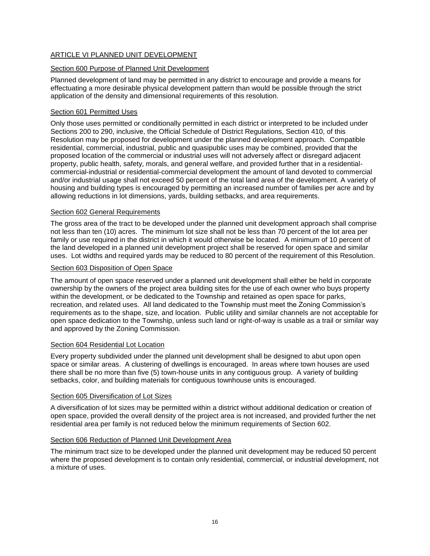# ARTICLE VI PLANNED UNIT DEVELOPMENT

# Section 600 Purpose of Planned Unit Development

Planned development of land may be permitted in any district to encourage and provide a means for effectuating a more desirable physical development pattern than would be possible through the strict application of the density and dimensional requirements of this resolution.

# Section 601 Permitted Uses

Only those uses permitted or conditionally permitted in each district or interpreted to be included under Sections 200 to 290, inclusive, the Official Schedule of District Regulations, Section 410, of this Resolution may be proposed for development under the planned development approach. Compatible residential, commercial, industrial, public and quasipublic uses may be combined, provided that the proposed location of the commercial or industrial uses will not adversely affect or disregard adjacent property, public health, safety, morals, and general welfare, and provided further that in a residentialcommercial-industrial or residential-commercial development the amount of land devoted to commercial and/or industrial usage shall not exceed 50 percent of the total land area of the development. A variety of housing and building types is encouraged by permitting an increased number of families per acre and by allowing reductions in lot dimensions, yards, building setbacks, and area requirements.

# Section 602 General Requirements

The gross area of the tract to be developed under the planned unit development approach shall comprise not less than ten (10) acres. The minimum lot size shall not be less than 70 percent of the lot area per family or use required in the district in which it would otherwise be located. A minimum of 10 percent of the land developed in a planned unit development project shall be reserved for open space and similar uses. Lot widths and required yards may be reduced to 80 percent of the requirement of this Resolution.

# Section 603 Disposition of Open Space

The amount of open space reserved under a planned unit development shall either be held in corporate ownership by the owners of the project area building sites for the use of each owner who buys property within the development, or be dedicated to the Township and retained as open space for parks, recreation, and related uses. All land dedicated to the Township must meet the Zoning Commission's requirements as to the shape, size, and location. Public utility and similar channels are not acceptable for open space dedication to the Township, unless such land or right-of-way is usable as a trail or similar way and approved by the Zoning Commission.

# Section 604 Residential Lot Location

Every property subdivided under the planned unit development shall be designed to abut upon open space or similar areas. A clustering of dwellings is encouraged. In areas where town houses are used there shall be no more than five (5) town-house units in any contiguous group. A variety of building setbacks, color, and building materials for contiguous townhouse units is encouraged.

# Section 605 Diversification of Lot Sizes

A diversification of lot sizes may be permitted within a district without additional dedication or creation of open space, provided the overall density of the project area is not increased, and provided further the net residential area per family is not reduced below the minimum requirements of Section 602.

# Section 606 Reduction of Planned Unit Development Area

The minimum tract size to be developed under the planned unit development may be reduced 50 percent where the proposed development is to contain only residential, commercial, or industrial development, not a mixture of uses.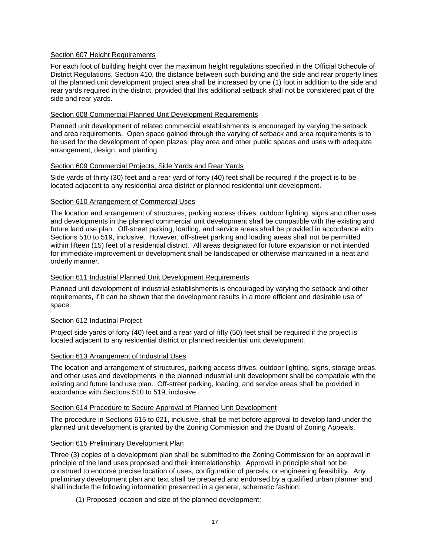# Section 607 Height Requirements

For each foot of building height over the maximum height regulations specified in the Official Schedule of District Regulations, Section 410, the distance between such building and the side and rear property lines of the planned unit development project area shall be increased by one (1) foot in addition to the side and rear yards required in the district, provided that this additional setback shall not be considered part of the side and rear yards.

# Section 608 Commercial Planned Unit Development Requirements

Planned unit development of related commercial establishments is encouraged by varying the setback and area requirements. Open space gained through the varying of setback and area requirements is to be used for the development of open plazas, play area and other public spaces and uses with adequate arrangement, design, and planting.

# Section 609 Commercial Projects, Side Yards and Rear Yards

Side yards of thirty (30) feet and a rear yard of forty (40) feet shall be required if the project is to be located adjacent to any residential area district or planned residential unit development.

# Section 610 Arrangement of Commercial Uses

The location and arrangement of structures, parking access drives, outdoor lighting, signs and other uses and developments in the planned commercial unit development shall be compatible with the existing and future land use plan. Off-street parking, loading, and service areas shall be provided in accordance with Sections 510 to 519, inclusive. However, off-street parking and loading areas shall not be permitted within fifteen (15) feet of a residential district. All areas designated for future expansion or not intended for immediate improvement or development shall be landscaped or otherwise maintained in a neat and orderly manner.

# Section 611 Industrial Planned Unit Development Requirements

Planned unit development of industrial establishments is encouraged by varying the setback and other requirements, if it can be shown that the development results in a more efficient and desirable use of space.

# Section 612 Industrial Project

Project side yards of forty (40) feet and a rear yard of fifty (50) feet shall be required if the project is located adjacent to any residential district or planned residential unit development.

# Section 613 Arrangement of Industrial Uses

The location and arrangement of structures, parking access drives, outdoor lighting, signs, storage areas, and other uses and developments in the planned industrial unit development shall be compatible with the existing and future land use plan. Off-street parking, loading, and service areas shall be provided in accordance with Sections 510 to 519, inclusive.

# Section 614 Procedure to Secure Approval of Planned Unit Development

The procedure in Sections 615 to 621, inclusive, shall be met before approval to develop land under the planned unit development is granted by the Zoning Commission and the Board of Zoning Appeals.

# Section 615 Preliminary Development Plan

Three (3) copies of a development plan shall be submitted to the Zoning Commission for an approval in principle of the land uses proposed and their interrelationship. Approval in principle shall not be construed to endorse precise location of uses, configuration of parcels, or engineering feasibility. Any preliminary development plan and text shall be prepared and endorsed by a qualified urban planner and shall include the following information presented in a general, schematic fashion:

(1) Proposed location and size of the planned development;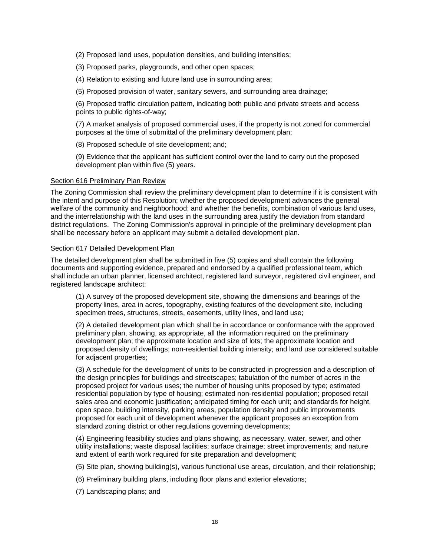(2) Proposed land uses, population densities, and building intensities;

(3) Proposed parks, playgrounds, and other open spaces;

(4) Relation to existing and future land use in surrounding area;

(5) Proposed provision of water, sanitary sewers, and surrounding area drainage;

(6) Proposed traffic circulation pattern, indicating both public and private streets and access points to public rights-of-way;

(7) A market analysis of proposed commercial uses, if the property is not zoned for commercial purposes at the time of submittal of the preliminary development plan;

(8) Proposed schedule of site development; and;

(9) Evidence that the applicant has sufficient control over the land to carry out the proposed development plan within five (5) years.

#### Section 616 Preliminary Plan Review

The Zoning Commission shall review the preliminary development plan to determine if it is consistent with the intent and purpose of this Resolution; whether the proposed development advances the general welfare of the community and neighborhood; and whether the benefits, combination of various land uses, and the interrelationship with the land uses in the surrounding area justify the deviation from standard district regulations. The Zoning Commission's approval in principle of the preliminary development plan shall be necessary before an applicant may submit a detailed development plan.

#### Section 617 Detailed Development Plan

The detailed development plan shall be submitted in five (5) copies and shall contain the following documents and supporting evidence, prepared and endorsed by a qualified professional team, which shall include an urban planner, licensed architect, registered land surveyor, registered civil engineer, and registered landscape architect:

(1) A survey of the proposed development site, showing the dimensions and bearings of the property lines, area in acres, topography, existing features of the development site, including specimen trees, structures, streets, easements, utility lines, and land use;

(2) A detailed development plan which shall be in accordance or conformance with the approved preliminary plan, showing, as appropriate, all the information required on the preliminary development plan; the approximate location and size of lots; the approximate location and proposed density of dwellings; non-residential building intensity; and land use considered suitable for adjacent properties;

(3) A schedule for the development of units to be constructed in progression and a description of the design principles for buildings and streetscapes; tabulation of the number of acres in the proposed project for various uses; the number of housing units proposed by type; estimated residential population by type of housing; estimated non-residential population; proposed retail sales area and economic justification; anticipated timing for each unit; and standards for height, open space, building intensity, parking areas, population density and public improvements proposed for each unit of development whenever the applicant proposes an exception from standard zoning district or other regulations governing developments;

(4) Engineering feasibility studies and plans showing, as necessary, water, sewer, and other utility installations; waste disposal facilities; surface drainage; street improvements; and nature and extent of earth work required for site preparation and development;

(5) Site plan, showing building(s), various functional use areas, circulation, and their relationship;

(6) Preliminary building plans, including floor plans and exterior elevations;

(7) Landscaping plans; and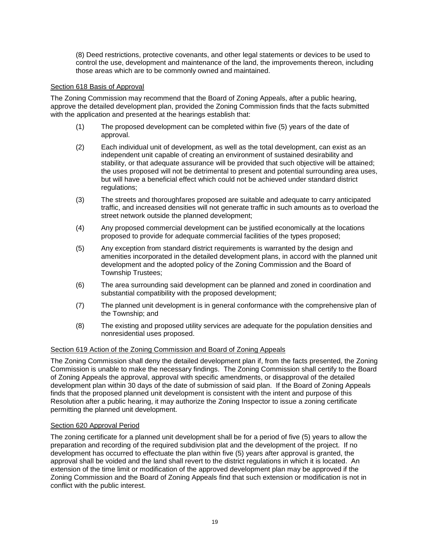(8) Deed restrictions, protective covenants, and other legal statements or devices to be used to control the use, development and maintenance of the land, the improvements thereon, including those areas which are to be commonly owned and maintained.

# Section 618 Basis of Approval

The Zoning Commission may recommend that the Board of Zoning Appeals, after a public hearing, approve the detailed development plan, provided the Zoning Commission finds that the facts submitted with the application and presented at the hearings establish that:

- (1) The proposed development can be completed within five (5) years of the date of approval.
- (2) Each individual unit of development, as well as the total development, can exist as an independent unit capable of creating an environment of sustained desirability and stability, or that adequate assurance will be provided that such objective will be attained; the uses proposed will not be detrimental to present and potential surrounding area uses, but will have a beneficial effect which could not be achieved under standard district regulations;
- (3) The streets and thoroughfares proposed are suitable and adequate to carry anticipated traffic, and increased densities will not generate traffic in such amounts as to overload the street network outside the planned development;
- (4) Any proposed commercial development can be justified economically at the locations proposed to provide for adequate commercial facilities of the types proposed;
- (5) Any exception from standard district requirements is warranted by the design and amenities incorporated in the detailed development plans, in accord with the planned unit development and the adopted policy of the Zoning Commission and the Board of Township Trustees;
- (6) The area surrounding said development can be planned and zoned in coordination and substantial compatibility with the proposed development;
- (7) The planned unit development is in general conformance with the comprehensive plan of the Township; and
- (8) The existing and proposed utility services are adequate for the population densities and nonresidential uses proposed.

# Section 619 Action of the Zoning Commission and Board of Zoning Appeals

The Zoning Commission shall deny the detailed development plan if, from the facts presented, the Zoning Commission is unable to make the necessary findings. The Zoning Commission shall certify to the Board of Zoning Appeals the approval, approval with specific amendments, or disapproval of the detailed development plan within 30 days of the date of submission of said plan. If the Board of Zoning Appeals finds that the proposed planned unit development is consistent with the intent and purpose of this Resolution after a public hearing, it may authorize the Zoning Inspector to issue a zoning certificate permitting the planned unit development.

#### Section 620 Approval Period

The zoning certificate for a planned unit development shall be for a period of five (5) years to allow the preparation and recording of the required subdivision plat and the development of the project. If no development has occurred to effectuate the plan within five (5) years after approval is granted, the approval shall be voided and the land shall revert to the district regulations in which it is located. An extension of the time limit or modification of the approved development plan may be approved if the Zoning Commission and the Board of Zoning Appeals find that such extension or modification is not in conflict with the public interest.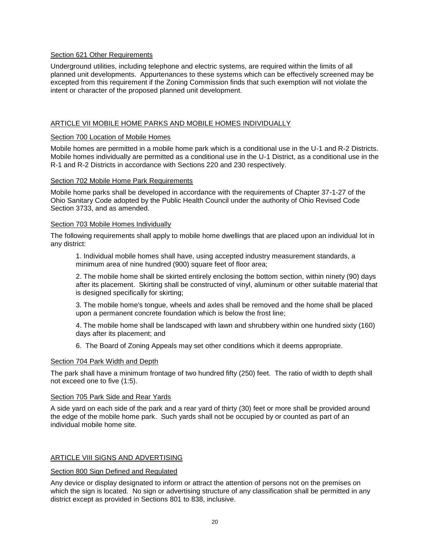# Section 621 Other Requirements

Underground utilities, including telephone and electric systems, are required within the limits of all planned unit developments. Appurtenances to these systems which can be effectively screened may be excepted from this requirement if the Zoning Commission finds that such exemption will not violate the intent or character of the proposed planned unit development.

# ARTICLE VII MOBILE HOME PARKS AND MOBILE HOMES INDIVIDUALLY

#### Section 700 Location of Mobile Homes

Mobile homes are permitted in a mobile home park which is a conditional use in the U-1 and R-2 Districts. Mobile homes individually are permitted as a conditional use in the U-1 District, as a conditional use in the R-1 and R-2 Districts in accordance with Sections 220 and 230 respectively.

#### Section 702 Mobile Home Park Requirements

Mobile home parks shall be developed in accordance with the requirements of Chapter 37-1-27 of the Ohio Sanitary Code adopted by the Public Health Council under the authority of Ohio Revised Code Section 3733, and as amended.

#### Section 703 Mobile Homes Individually

The following requirements shall apply to mobile home dwellings that are placed upon an individual lot in any district:

1. Individual mobile homes shall have, using accepted industry measurement standards, a minimum area of nine hundred (900) square feet of floor area;

2. The mobile home shall be skirted entirely enclosing the bottom section, within ninety (90) days after its placement. Skirting shall be constructed of vinyl, aluminum or other suitable material that is designed specifically for skirting;

3. The mobile home's tongue, wheels and axles shall be removed and the home shall be placed upon a permanent concrete foundation which is below the frost line;

4. The mobile home shall be landscaped with lawn and shrubbery within one hundred sixty (160) days after its placement; and

6. The Board of Zoning Appeals may set other conditions which it deems appropriate.

# Section 704 Park Width and Depth

The park shall have a minimum frontage of two hundred fifty (250) feet. The ratio of width to depth shall not exceed one to five (1:5).

#### Section 705 Park Side and Rear Yards

A side yard on each side of the park and a rear yard of thirty (30) feet or more shall be provided around the edge of the mobile home park. Such yards shall not be occupied by or counted as part of an individual mobile home site.

# ARTICLE VIII SIGNS AND ADVERTISING

#### Section 800 Sign Defined and Regulated

Any device or display designated to inform or attract the attention of persons not on the premises on which the sign is located. No sign or advertising structure of any classification shall be permitted in any district except as provided in Sections 801 to 838, inclusive.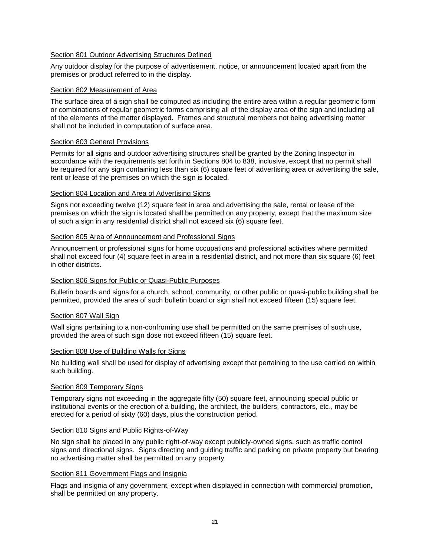# Section 801 Outdoor Advertising Structures Defined

Any outdoor display for the purpose of advertisement, notice, or announcement located apart from the premises or product referred to in the display.

# Section 802 Measurement of Area

The surface area of a sign shall be computed as including the entire area within a regular geometric form or combinations of regular geometric forms comprising all of the display area of the sign and including all of the elements of the matter displayed. Frames and structural members not being advertising matter shall not be included in computation of surface area.

#### Section 803 General Provisions

Permits for all signs and outdoor advertising structures shall be granted by the Zoning Inspector in accordance with the requirements set forth in Sections 804 to 838, inclusive, except that no permit shall be required for any sign containing less than six (6) square feet of advertising area or advertising the sale, rent or lease of the premises on which the sign is located.

# Section 804 Location and Area of Advertising Signs

Signs not exceeding twelve (12) square feet in area and advertising the sale, rental or lease of the premises on which the sign is located shall be permitted on any property, except that the maximum size of such a sign in any residential district shall not exceed six (6) square feet.

# Section 805 Area of Announcement and Professional Signs

Announcement or professional signs for home occupations and professional activities where permitted shall not exceed four (4) square feet in area in a residential district, and not more than six square (6) feet in other districts.

# Section 806 Signs for Public or Quasi-Public Purposes

Bulletin boards and signs for a church, school, community, or other public or quasi-public building shall be permitted, provided the area of such bulletin board or sign shall not exceed fifteen (15) square feet.

# Section 807 Wall Sign

Wall signs pertaining to a non-confroming use shall be permitted on the same premises of such use, provided the area of such sign dose not exceed fifteen (15) square feet.

#### Section 808 Use of Building Walls for Signs

No building wall shall be used for display of advertising except that pertaining to the use carried on within such building.

# Section 809 Temporary Signs

Temporary signs not exceeding in the aggregate fifty (50) square feet, announcing special public or institutional events or the erection of a building, the architect, the builders, contractors, etc., may be erected for a period of sixty (60) days, plus the construction period.

# Section 810 Signs and Public Rights-of-Way

No sign shall be placed in any public right-of-way except publicly-owned signs, such as traffic control signs and directional signs. Signs directing and guiding traffic and parking on private property but bearing no advertising matter shall be permitted on any property.

#### Section 811 Government Flags and Insignia

Flags and insignia of any government, except when displayed in connection with commercial promotion, shall be permitted on any property.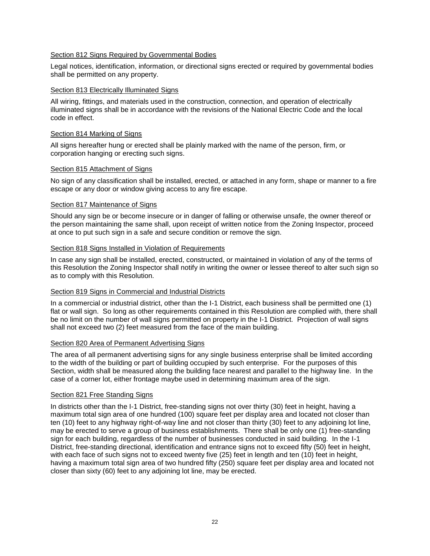# Section 812 Signs Required by Governmental Bodies

Legal notices, identification, information, or directional signs erected or required by governmental bodies shall be permitted on any property.

# Section 813 Electrically Illuminated Signs

All wiring, fittings, and materials used in the construction, connection, and operation of electrically illuminated signs shall be in accordance with the revisions of the National Electric Code and the local code in effect.

# Section 814 Marking of Signs

All signs hereafter hung or erected shall be plainly marked with the name of the person, firm, or corporation hanging or erecting such signs.

# Section 815 Attachment of Signs

No sign of any classification shall be installed, erected, or attached in any form, shape or manner to a fire escape or any door or window giving access to any fire escape.

#### Section 817 Maintenance of Signs

Should any sign be or become insecure or in danger of falling or otherwise unsafe, the owner thereof or the person maintaining the same shall, upon receipt of written notice from the Zoning Inspector, proceed at once to put such sign in a safe and secure condition or remove the sign.

#### Section 818 Signs Installed in Violation of Requirements

In case any sign shall be installed, erected, constructed, or maintained in violation of any of the terms of this Resolution the Zoning Inspector shall notify in writing the owner or lessee thereof to alter such sign so as to comply with this Resolution.

# Section 819 Signs in Commercial and Industrial Districts

In a commercial or industrial district, other than the I-1 District, each business shall be permitted one (1) flat or wall sign. So long as other requirements contained in this Resolution are complied with, there shall be no limit on the number of wall signs permitted on property in the I-1 District. Projection of wall signs shall not exceed two (2) feet measured from the face of the main building.

# Section 820 Area of Permanent Advertising Signs

The area of all permanent advertising signs for any single business enterprise shall be limited according to the width of the building or part of building occupied by such enterprise. For the purposes of this Section, width shall be measured along the building face nearest and parallel to the highway line. In the case of a corner lot, either frontage maybe used in determining maximum area of the sign.

# Section 821 Free Standing Signs

In districts other than the I-1 District, free-standing signs not over thirty (30) feet in height, having a maximum total sign area of one hundred (100) square feet per display area and located not closer than ten (10) feet to any highway right-of-way line and not closer than thirty (30) feet to any adjoining lot line, may be erected to serve a group of business establishments. There shall be only one (1) free-standing sign for each building, regardless of the number of businesses conducted in said building. In the I-1 District, free-standing directional, identification and entrance signs not to exceed fifty (50) feet in height, with each face of such signs not to exceed twenty five (25) feet in length and ten (10) feet in height, having a maximum total sign area of two hundred fifty (250) square feet per display area and located not closer than sixty (60) feet to any adjoining lot line, may be erected.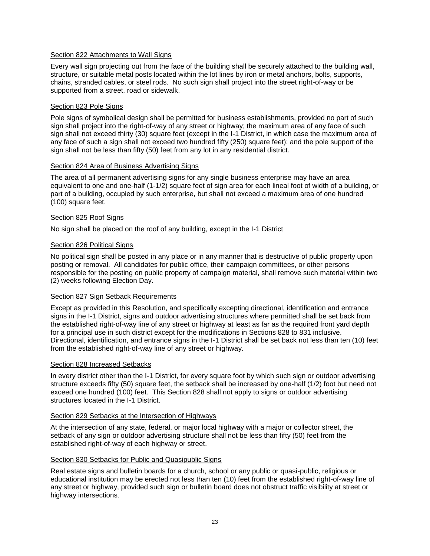# Section 822 Attachments to Wall Signs

Every wall sign projecting out from the face of the building shall be securely attached to the building wall, structure, or suitable metal posts located within the lot lines by iron or metal anchors, bolts, supports, chains, stranded cables, or steel rods. No such sign shall project into the street right-of-way or be supported from a street, road or sidewalk.

# Section 823 Pole Signs

Pole signs of symbolical design shall be permitted for business establishments, provided no part of such sign shall project into the right-of-way of any street or highway; the maximum area of any face of such sign shall not exceed thirty (30) square feet (except in the I-1 District, in which case the maximum area of any face of such a sign shall not exceed two hundred fifty (250) square feet); and the pole support of the sign shall not be less than fifty (50) feet from any lot in any residential district.

# Section 824 Area of Business Advertising Signs

The area of all permanent advertising signs for any single business enterprise may have an area equivalent to one and one-half (1-1/2) square feet of sign area for each lineal foot of width of a building, or part of a building, occupied by such enterprise, but shall not exceed a maximum area of one hundred (100) square feet.

# Section 825 Roof Signs

No sign shall be placed on the roof of any building, except in the I-1 District

# Section 826 Political Signs

No political sign shall be posted in any place or in any manner that is destructive of public property upon posting or removal. All candidates for public office, their campaign committees, or other persons responsible for the posting on public property of campaign material, shall remove such material within two (2) weeks following Election Day.

# Section 827 Sign Setback Requirements

Except as provided in this Resolution, and specifically excepting directional, identification and entrance signs in the I-1 District, signs and outdoor advertising structures where permitted shall be set back from the established right-of-way line of any street or highway at least as far as the required front yard depth for a principal use in such district except for the modifications in Sections 828 to 831 inclusive. Directional, identification, and entrance signs in the I-1 District shall be set back not less than ten (10) feet from the established right-of-way line of any street or highway.

# Section 828 Increased Setbacks

In every district other than the I-1 District, for every square foot by which such sign or outdoor advertising structure exceeds fifty (50) square feet, the setback shall be increased by one-half (1/2) foot but need not exceed one hundred (100) feet. This Section 828 shall not apply to signs or outdoor advertising structures located in the I-1 District.

# Section 829 Setbacks at the Intersection of Highways

At the intersection of any state, federal, or major local highway with a major or collector street, the setback of any sign or outdoor advertising structure shall not be less than fifty (50) feet from the established right-of-way of each highway or street.

# Section 830 Setbacks for Public and Quasipublic Signs

Real estate signs and bulletin boards for a church, school or any public or quasi-public, religious or educational institution may be erected not less than ten (10) feet from the established right-of-way line of any street or highway, provided such sign or bulletin board does not obstruct traffic visibility at street or highway intersections.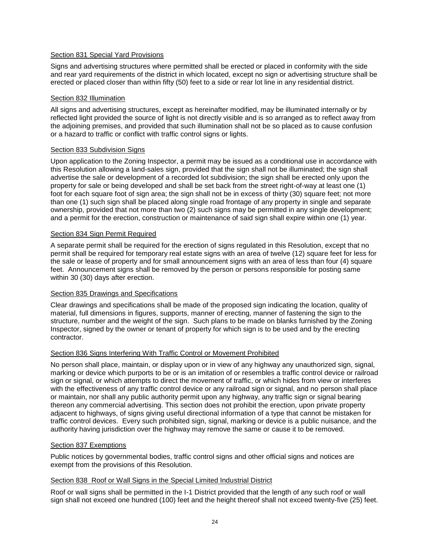# Section 831 Special Yard Provisions

Signs and advertising structures where permitted shall be erected or placed in conformity with the side and rear yard requirements of the district in which located, except no sign or advertising structure shall be erected or placed closer than within fifty (50) feet to a side or rear lot line in any residential district.

# Section 832 Illumination

All signs and advertising structures, except as hereinafter modified, may be illuminated internally or by reflected light provided the source of light is not directly visible and is so arranged as to reflect away from the adjoining premises, and provided that such illumination shall not be so placed as to cause confusion or a hazard to traffic or conflict with traffic control signs or lights.

#### Section 833 Subdivision Signs

Upon application to the Zoning Inspector, a permit may be issued as a conditional use in accordance with this Resolution allowing a land-sales sign, provided that the sign shall not be illuminated; the sign shall advertise the sale or development of a recorded lot subdivision; the sign shall be erected only upon the property for sale or being developed and shall be set back from the street right-of-way at least one (1) foot for each square foot of sign area; the sign shall not be in excess of thirty (30) square feet; not more than one (1) such sign shall be placed along single road frontage of any property in single and separate ownership, provided that not more than two (2) such signs may be permitted in any single development; and a permit for the erection, construction or maintenance of said sign shall expire within one (1) year.

#### Section 834 Sign Permit Required

A separate permit shall be required for the erection of signs regulated in this Resolution, except that no permit shall be required for temporary real estate signs with an area of twelve (12) square feet for less for the sale or lease of property and for small announcement signs with an area of less than four (4) square feet. Announcement signs shall be removed by the person or persons responsible for posting same within 30 (30) days after erection.

# Section 835 Drawings and Specifications

Clear drawings and specifications shall be made of the proposed sign indicating the location, quality of material, full dimensions in figures, supports, manner of erecting, manner of fastening the sign to the structure, number and the weight of the sign. Such plans to be made on blanks furnished by the Zoning Inspector, signed by the owner or tenant of property for which sign is to be used and by the erecting contractor.

# Section 836 Signs Interfering With Traffic Control or Movement Prohibited

No person shall place, maintain, or display upon or in view of any highway any unauthorized sign, signal, marking or device which purports to be or is an imitation of or resembles a traffic control device or railroad sign or signal, or which attempts to direct the movement of traffic, or which hides from view or interferes with the effectiveness of any traffic control device or any railroad sign or signal, and no person shall place or maintain, nor shall any public authority permit upon any highway, any traffic sign or signal bearing thereon any commercial advertising. This section does not prohibit the erection, upon private property adjacent to highways, of signs giving useful directional information of a type that cannot be mistaken for traffic control devices. Every such prohibited sign, signal, marking or device is a public nuisance, and the authority having jurisdiction over the highway may remove the same or cause it to be removed.

#### Section 837 Exemptions

Public notices by governmental bodies, traffic control signs and other official signs and notices are exempt from the provisions of this Resolution.

# Section 838 Roof or Wall Signs in the Special Limited Industrial District

Roof or wall signs shall be permitted in the I-1 District provided that the length of any such roof or wall sign shall not exceed one hundred (100) feet and the height thereof shall not exceed twenty-five (25) feet.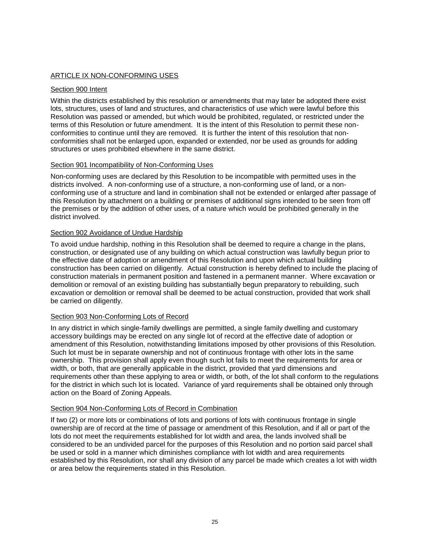# ARTICLE IX NON-CONFORMING USES

# Section 900 Intent

Within the districts established by this resolution or amendments that may later be adopted there exist lots, structures, uses of land and structures, and characteristics of use which were lawful before this Resolution was passed or amended, but which would be prohibited, regulated, or restricted under the terms of this Resolution or future amendment. It is the intent of this Resolution to permit these nonconformities to continue until they are removed. It is further the intent of this resolution that nonconformities shall not be enlarged upon, expanded or extended, nor be used as grounds for adding structures or uses prohibited elsewhere in the same district.

# Section 901 Incompatibility of Non-Conforming Uses

Non-conforming uses are declared by this Resolution to be incompatible with permitted uses in the districts involved. A non-conforming use of a structure, a non-conforming use of land, or a nonconforming use of a structure and land in combination shall not be extended or enlarged after passage of this Resolution by attachment on a building or premises of additional signs intended to be seen from off the premises or by the addition of other uses, of a nature which would be prohibited generally in the district involved.

# Section 902 Avoidance of Undue Hardship

To avoid undue hardship, nothing in this Resolution shall be deemed to require a change in the plans, construction, or designated use of any building on which actual construction was lawfully begun prior to the effective date of adoption or amendment of this Resolution and upon which actual building construction has been carried on diligently. Actual construction is hereby defined to include the placing of construction materials in permanent position and fastened in a permanent manner. Where excavation or demolition or removal of an existing building has substantially begun preparatory to rebuilding, such excavation or demolition or removal shall be deemed to be actual construction, provided that work shall be carried on diligently.

# Section 903 Non-Conforming Lots of Record

In any district in which single-family dwellings are permitted, a single family dwelling and customary accessory buildings may be erected on any single lot of record at the effective date of adoption or amendment of this Resolution, notwithstanding limitations imposed by other provisions of this Resolution. Such lot must be in separate ownership and not of continuous frontage with other lots in the same ownership. This provision shall apply even though such lot fails to meet the requirements for area or width, or both, that are generally applicable in the district, provided that yard dimensions and requirements other than these applying to area or width, or both, of the lot shall conform to the regulations for the district in which such lot is located. Variance of yard requirements shall be obtained only through action on the Board of Zoning Appeals.

# Section 904 Non-Conforming Lots of Record in Combination

If two (2) or more lots or combinations of lots and portions of lots with continuous frontage in single ownership are of record at the time of passage or amendment of this Resolution, and if all or part of the lots do not meet the requirements established for lot width and area, the lands involved shall be considered to be an undivided parcel for the purposes of this Resolution and no portion said parcel shall be used or sold in a manner which diminishes compliance with lot width and area requirements established by this Resolution, nor shall any division of any parcel be made which creates a lot with width or area below the requirements stated in this Resolution.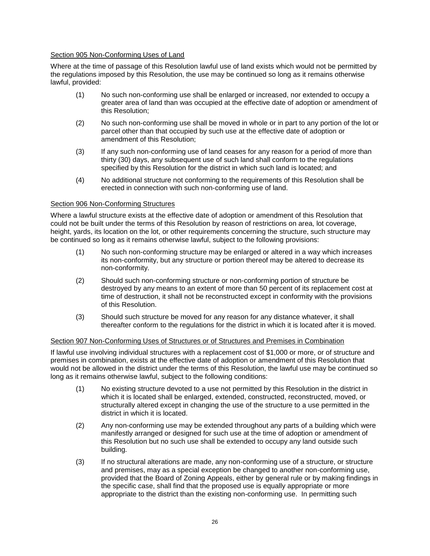# Section 905 Non-Conforming Uses of Land

Where at the time of passage of this Resolution lawful use of land exists which would not be permitted by the regulations imposed by this Resolution, the use may be continued so long as it remains otherwise lawful, provided:

- (1) No such non-conforming use shall be enlarged or increased, nor extended to occupy a greater area of land than was occupied at the effective date of adoption or amendment of this Resolution;
- (2) No such non-conforming use shall be moved in whole or in part to any portion of the lot or parcel other than that occupied by such use at the effective date of adoption or amendment of this Resolution;
- (3) If any such non-conforming use of land ceases for any reason for a period of more than thirty (30) days, any subsequent use of such land shall conform to the regulations specified by this Resolution for the district in which such land is located; and
- (4) No additional structure not conforming to the requirements of this Resolution shall be erected in connection with such non-conforming use of land.

# Section 906 Non-Conforming Structures

Where a lawful structure exists at the effective date of adoption or amendment of this Resolution that could not be built under the terms of this Resolution by reason of restrictions on area, lot coverage, height, yards, its location on the lot, or other requirements concerning the structure, such structure may be continued so long as it remains otherwise lawful, subject to the following provisions:

- (1) No such non-conforming structure may be enlarged or altered in a way which increases its non-conformity, but any structure or portion thereof may be altered to decrease its non-conformity.
- (2) Should such non-conforming structure or non-conforming portion of structure be destroyed by any means to an extent of more than 50 percent of its replacement cost at time of destruction, it shall not be reconstructed except in conformity with the provisions of this Resolution.
- (3) Should such structure be moved for any reason for any distance whatever, it shall thereafter conform to the regulations for the district in which it is located after it is moved.

# Section 907 Non-Conforming Uses of Structures or of Structures and Premises in Combination

If lawful use involving individual structures with a replacement cost of \$1,000 or more, or of structure and premises in combination, exists at the effective date of adoption or amendment of this Resolution that would not be allowed in the district under the terms of this Resolution, the lawful use may be continued so long as it remains otherwise lawful, subject to the following conditions:

- (1) No existing structure devoted to a use not permitted by this Resolution in the district in which it is located shall be enlarged, extended, constructed, reconstructed, moved, or structurally altered except in changing the use of the structure to a use permitted in the district in which it is located.
- (2) Any non-conforming use may be extended throughout any parts of a building which were manifestly arranged or designed for such use at the time of adoption or amendment of this Resolution but no such use shall be extended to occupy any land outside such building.
- (3) If no structural alterations are made, any non-conforming use of a structure, or structure and premises, may as a special exception be changed to another non-conforming use, provided that the Board of Zoning Appeals, either by general rule or by making findings in the specific case, shall find that the proposed use is equally appropriate or more appropriate to the district than the existing non-conforming use. In permitting such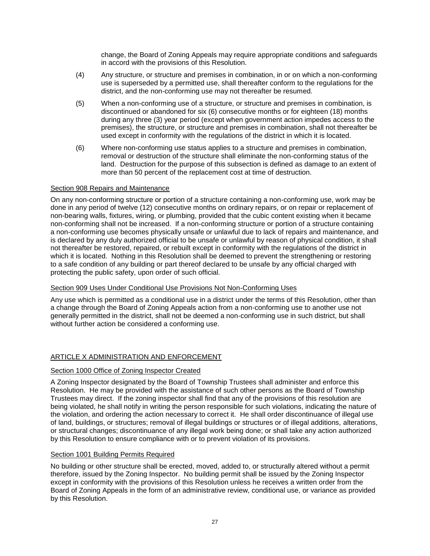change, the Board of Zoning Appeals may require appropriate conditions and safeguards in accord with the provisions of this Resolution.

- (4) Any structure, or structure and premises in combination, in or on which a non-conforming use is superseded by a permitted use, shall thereafter conform to the regulations for the district, and the non-conforming use may not thereafter be resumed.
- (5) When a non-conforming use of a structure, or structure and premises in combination, is discontinued or abandoned for six (6) consecutive months or for eighteen (18) months during any three (3) year period (except when government action impedes access to the premises), the structure, or structure and premises in combination, shall not thereafter be used except in conformity with the regulations of the district in which it is located.
- (6) Where non-conforming use status applies to a structure and premises in combination, removal or destruction of the structure shall eliminate the non-conforming status of the land. Destruction for the purpose of this subsection is defined as damage to an extent of more than 50 percent of the replacement cost at time of destruction.

# Section 908 Repairs and Maintenance

On any non-conforming structure or portion of a structure containing a non-conforming use, work may be done in any period of twelve (12) consecutive months on ordinary repairs, or on repair or replacement of non-bearing walls, fixtures, wiring, or plumbing, provided that the cubic content existing when it became non-conforming shall not be increased. If a non-conforming structure or portion of a structure containing a non-conforming use becomes physically unsafe or unlawful due to lack of repairs and maintenance, and is declared by any duly authorized official to be unsafe or unlawful by reason of physical condition, it shall not thereafter be restored, repaired, or rebuilt except in conformity with the regulations of the district in which it is located. Nothing in this Resolution shall be deemed to prevent the strengthening or restoring to a safe condition of any building or part thereof declared to be unsafe by any official charged with protecting the public safety, upon order of such official.

# Section 909 Uses Under Conditional Use Provisions Not Non-Conforming Uses

Any use which is permitted as a conditional use in a district under the terms of this Resolution, other than a change through the Board of Zoning Appeals action from a non-conforming use to another use not generally permitted in the district, shall not be deemed a non-conforming use in such district, but shall without further action be considered a conforming use.

# ARTICLE X ADMINISTRATION AND ENFORCEMENT

# Section 1000 Office of Zoning Inspector Created

A Zoning Inspector designated by the Board of Township Trustees shall administer and enforce this Resolution. He may be provided with the assistance of such other persons as the Board of Township Trustees may direct. If the zoning inspector shall find that any of the provisions of this resolution are being violated, he shall notify in writing the person responsible for such violations, indicating the nature of the violation, and ordering the action necessary to correct it. He shall order discontinuance of illegal use of land, buildings, or structures; removal of illegal buildings or structures or of illegal additions, alterations, or structural changes; discontinuance of any illegal work being done; or shall take any action authorized by this Resolution to ensure compliance with or to prevent violation of its provisions.

# Section 1001 Building Permits Required

No building or other structure shall be erected, moved, added to, or structurally altered without a permit therefore, issued by the Zoning Inspector. No building permit shall be issued by the Zoning Inspector except in conformity with the provisions of this Resolution unless he receives a written order from the Board of Zoning Appeals in the form of an administrative review, conditional use, or variance as provided by this Resolution.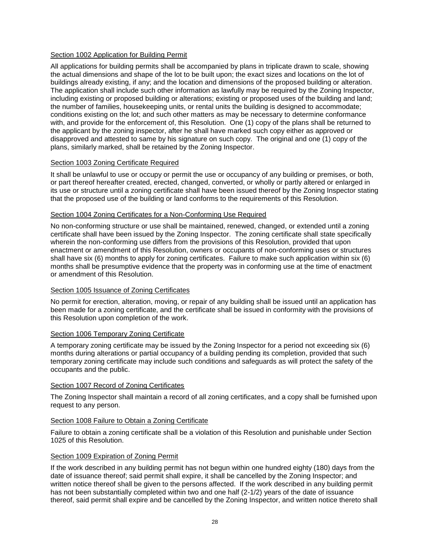# Section 1002 Application for Building Permit

All applications for building permits shall be accompanied by plans in triplicate drawn to scale, showing the actual dimensions and shape of the lot to be built upon; the exact sizes and locations on the lot of buildings already existing, if any; and the location and dimensions of the proposed building or alteration. The application shall include such other information as lawfully may be required by the Zoning Inspector, including existing or proposed building or alterations; existing or proposed uses of the building and land; the number of families, housekeeping units, or rental units the building is designed to accommodate; conditions existing on the lot; and such other matters as may be necessary to determine conformance with, and provide for the enforcement of, this Resolution. One (1) copy of the plans shall be returned to the applicant by the zoning inspector, after he shall have marked such copy either as approved or disapproved and attested to same by his signature on such copy. The original and one (1) copy of the plans, similarly marked, shall be retained by the Zoning Inspector.

# Section 1003 Zoning Certificate Required

It shall be unlawful to use or occupy or permit the use or occupancy of any building or premises, or both, or part thereof hereafter created, erected, changed, converted, or wholly or partly altered or enlarged in its use or structure until a zoning certificate shall have been issued thereof by the Zoning Inspector stating that the proposed use of the building or land conforms to the requirements of this Resolution.

# Section 1004 Zoning Certificates for a Non-Conforming Use Required

No non-conforming structure or use shall be maintained, renewed, changed, or extended until a zoning certificate shall have been issued by the Zoning Inspector. The zoning certificate shall state specifically wherein the non-conforming use differs from the provisions of this Resolution, provided that upon enactment or amendment of this Resolution, owners or occupants of non-conforming uses or structures shall have six (6) months to apply for zoning certificates. Failure to make such application within six (6) months shall be presumptive evidence that the property was in conforming use at the time of enactment or amendment of this Resolution.

# Section 1005 Issuance of Zoning Certificates

No permit for erection, alteration, moving, or repair of any building shall be issued until an application has been made for a zoning certificate, and the certificate shall be issued in conformity with the provisions of this Resolution upon completion of the work.

# Section 1006 Temporary Zoning Certificate

A temporary zoning certificate may be issued by the Zoning Inspector for a period not exceeding six (6) months during alterations or partial occupancy of a building pending its completion, provided that such temporary zoning certificate may include such conditions and safeguards as will protect the safety of the occupants and the public.

# Section 1007 Record of Zoning Certificates

The Zoning Inspector shall maintain a record of all zoning certificates, and a copy shall be furnished upon request to any person.

# Section 1008 Failure to Obtain a Zoning Certificate

Failure to obtain a zoning certificate shall be a violation of this Resolution and punishable under Section 1025 of this Resolution.

# Section 1009 Expiration of Zoning Permit

If the work described in any building permit has not begun within one hundred eighty (180) days from the date of issuance thereof; said permit shall expire, it shall be cancelled by the Zoning Inspector; and written notice thereof shall be given to the persons affected. If the work described in any building permit has not been substantially completed within two and one half (2-1/2) years of the date of issuance thereof, said permit shall expire and be cancelled by the Zoning Inspector, and written notice thereto shall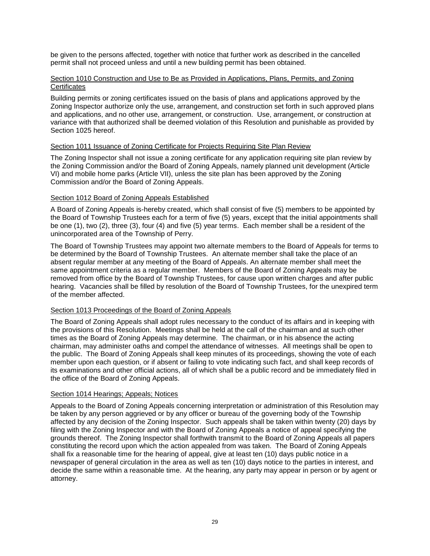be given to the persons affected, together with notice that further work as described in the cancelled permit shall not proceed unless and until a new building permit has been obtained.

# Section 1010 Construction and Use to Be as Provided in Applications, Plans, Permits, and Zoning **Certificates**

Building permits or zoning certificates issued on the basis of plans and applications approved by the Zoning Inspector authorize only the use, arrangement, and construction set forth in such approved plans and applications, and no other use, arrangement, or construction. Use, arrangement, or construction at variance with that authorized shall be deemed violation of this Resolution and punishable as provided by Section 1025 hereof.

# Section 1011 Issuance of Zoning Certificate for Projects Requiring Site Plan Review

The Zoning Inspector shall not issue a zoning certificate for any application requiring site plan review by the Zoning Commission and/or the Board of Zoning Appeals, namely planned unit development (Article VI) and mobile home parks (Article VII), unless the site plan has been approved by the Zoning Commission and/or the Board of Zoning Appeals.

# Section 1012 Board of Zoning Appeals Established

A Board of Zoning Appeals is-hereby created, which shall consist of five (5) members to be appointed by the Board of Township Trustees each for a term of five (5) years, except that the initial appointments shall be one (1), two (2), three (3), four (4) and five (5) year terms. Each member shall be a resident of the unincorporated area of the Township of Perry.

The Board of Township Trustees may appoint two alternate members to the Board of Appeals for terms to be determined by the Board of Township Trustees. An alternate member shall take the place of an absent regular member at any meeting of the Board of Appeals. An alternate member shall meet the same appointment criteria as a regular member. Members of the Board of Zoning Appeals may be removed from office by the Board of Township Trustees, for cause upon written charges and after public hearing. Vacancies shall be filled by resolution of the Board of Township Trustees, for the unexpired term of the member affected.

# Section 1013 Proceedings of the Board of Zoning Appeals

The Board of Zoning Appeals shall adopt rules necessary to the conduct of its affairs and in keeping with the provisions of this Resolution. Meetings shall be held at the call of the chairman and at such other times as the Board of Zoning Appeals may determine. The chairman, or in his absence the acting chairman, may administer oaths and compel the attendance of witnesses. All meetings shall be open to the public. The Board of Zoning Appeals shall keep minutes of its proceedings, showing the vote of each member upon each question, or if absent or failing to vote indicating such fact, and shall keep records of its examinations and other official actions, all of which shall be a public record and be immediately filed in the office of the Board of Zoning Appeals.

# Section 1014 Hearings; Appeals; Notices

Appeals to the Board of Zoning Appeals concerning interpretation or administration of this Resolution may be taken by any person aggrieved or by any officer or bureau of the governing body of the Township affected by any decision of the Zoning Inspector. Such appeals shall be taken within twenty (20) days by filing with the Zoning Inspector and with the Board of Zoning Appeals a notice of appeal specifying the grounds thereof. The Zoning Inspector shall forthwith transmit to the Board of Zoning Appeals all papers constituting the record upon which the action appealed from was taken. The Board of Zoning Appeals shall fix a reasonable time for the hearing of appeal, give at least ten (10) days public notice in a newspaper of general circulation in the area as well as ten (10) days notice to the parties in interest, and decide the same within a reasonable time. At the hearing, any party may appear in person or by agent or attorney.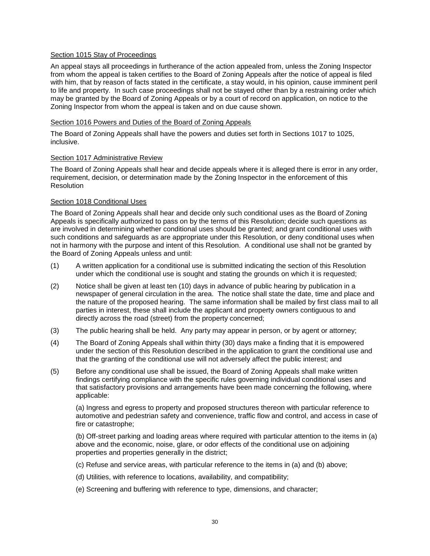# Section 1015 Stay of Proceedings

An appeal stays all proceedings in furtherance of the action appealed from, unless the Zoning Inspector from whom the appeal is taken certifies to the Board of Zoning Appeals after the notice of appeal is filed with him, that by reason of facts stated in the certificate, a stay would, in his opinion, cause imminent peril to life and property. In such case proceedings shall not be stayed other than by a restraining order which may be granted by the Board of Zoning Appeals or by a court of record on application, on notice to the Zoning Inspector from whom the appeal is taken and on due cause shown.

# Section 1016 Powers and Duties of the Board of Zoning Appeals

The Board of Zoning Appeals shall have the powers and duties set forth in Sections 1017 to 1025, inclusive.

# Section 1017 Administrative Review

The Board of Zoning Appeals shall hear and decide appeals where it is alleged there is error in any order, requirement, decision, or determination made by the Zoning Inspector in the enforcement of this **Resolution** 

# Section 1018 Conditional Uses

The Board of Zoning Appeals shall hear and decide only such conditional uses as the Board of Zoning Appeals is specifically authorized to pass on by the terms of this Resolution; decide such questions as are involved in determining whether conditional uses should be granted; and grant conditional uses with such conditions and safeguards as are appropriate under this Resolution, or deny conditional uses when not in harmony with the purpose and intent of this Resolution. A conditional use shall not be granted by the Board of Zoning Appeals unless and until:

- (1) A written application for a conditional use is submitted indicating the section of this Resolution under which the conditional use is sought and stating the grounds on which it is requested;
- (2) Notice shall be given at least ten (10) days in advance of public hearing by publication in a newspaper of general circulation in the area. The notice shall state the date, time and place and the nature of the proposed hearing. The same information shall be mailed by first class mail to all parties in interest, these shall include the applicant and property owners contiguous to and directly across the road (street) from the property concerned;
- (3) The public hearing shall be held. Any party may appear in person, or by agent or attorney;
- (4) The Board of Zoning Appeals shall within thirty (30) days make a finding that it is empowered under the section of this Resolution described in the application to grant the conditional use and that the granting of the conditional use will not adversely affect the public interest; and
- (5) Before any conditional use shall be issued, the Board of Zoning Appeals shall make written findings certifying compliance with the specific rules governing individual conditional uses and that satisfactory provisions and arrangements have been made concerning the following, where applicable:

(a) Ingress and egress to property and proposed structures thereon with particular reference to automotive and pedestrian safety and convenience, traffic flow and control, and access in case of fire or catastrophe;

(b) Off-street parking and loading areas where required with particular attention to the items in (a) above and the economic, noise, glare, or odor effects of the conditional use on adjoining properties and properties generally in the district;

- (c) Refuse and service areas, with particular reference to the items in (a) and (b) above;
- (d) Utilities, with reference to locations, availability, and compatibility;
- (e) Screening and buffering with reference to type, dimensions, and character;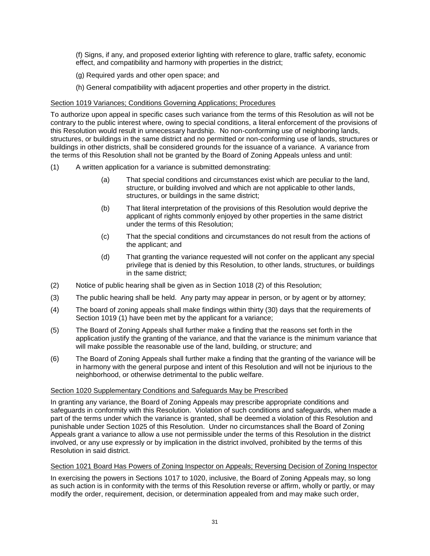(f) Signs, if any, and proposed exterior lighting with reference to glare, traffic safety, economic effect, and compatibility and harmony with properties in the district;

- (g) Required yards and other open space; and
- (h) General compatibility with adjacent properties and other property in the district.

# Section 1019 Variances; Conditions Governing Applications; Procedures

To authorize upon appeal in specific cases such variance from the terms of this Resolution as will not be contrary to the public interest where, owing to special conditions, a literal enforcement of the provisions of this Resolution would result in unnecessary hardship. No non-conforming use of neighboring lands, structures, or buildings in the same district and no permitted or non-conforming use of lands, structures or buildings in other districts, shall be considered grounds for the issuance of a variance. A variance from the terms of this Resolution shall not be granted by the Board of Zoning Appeals unless and until:

- (1) A written application for a variance is submitted demonstrating:
	- (a) That special conditions and circumstances exist which are peculiar to the land, structure, or building involved and which are not applicable to other lands, structures, or buildings in the same district;
	- (b) That literal interpretation of the provisions of this Resolution would deprive the applicant of rights commonly enjoyed by other properties in the same district under the terms of this Resolution;
	- (c) That the special conditions and circumstances do not result from the actions of the applicant; and
	- (d) That granting the variance requested will not confer on the applicant any special privilege that is denied by this Resolution, to other lands, structures, or buildings in the same district;
- (2) Notice of public hearing shall be given as in Section 1018 (2) of this Resolution;
- (3) The public hearing shall be held. Any party may appear in person, or by agent or by attorney;
- (4) The board of zoning appeals shall make findings within thirty (30) days that the requirements of Section 1019 (1) have been met by the applicant for a variance;
- (5) The Board of Zoning Appeals shall further make a finding that the reasons set forth in the application justify the granting of the variance, and that the variance is the minimum variance that will make possible the reasonable use of the land, building, or structure; and
- (6) The Board of Zoning Appeals shall further make a finding that the granting of the variance will be in harmony with the general purpose and intent of this Resolution and will not be injurious to the neighborhood, or otherwise detrimental to the public welfare.

# Section 1020 Supplementary Conditions and Safeguards May be Prescribed

In granting any variance, the Board of Zoning Appeals may prescribe appropriate conditions and safeguards in conformity with this Resolution. Violation of such conditions and safeguards, when made a part of the terms under which the variance is granted, shall be deemed a violation of this Resolution and punishable under Section 1025 of this Resolution. Under no circumstances shall the Board of Zoning Appeals grant a variance to allow a use not permissible under the terms of this Resolution in the district involved, or any use expressly or by implication in the district involved, prohibited by the terms of this Resolution in said district.

# Section 1021 Board Has Powers of Zoning Inspector on Appeals; Reversing Decision of Zoning Inspector

In exercising the powers in Sections 1017 to 1020, inclusive, the Board of Zoning Appeals may, so long as such action is in conformity with the terms of this Resolution reverse or affirm, wholly or partly, or may modify the order, requirement, decision, or determination appealed from and may make such order,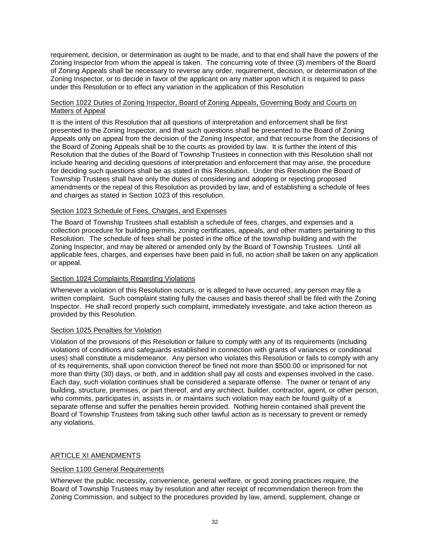requirement, decision, or determination as ought to be made, and to that end shall have the powers of the Zoning Inspector from whom the appeal is taken. The concurring vote of three (3) members of the Board of Zoning Appeals shall be necessary to reverse any order, requirement, decision, or determination of the Zoning Inspector, or to decide in favor of the applicant on any matter upon which it is required to pass under this Resolution or to effect any variation in the application of this Resolution

# Section 1022 Duties of Zoning Inspector, Board of Zoning Appeals, Governing Body and Courts on Matters of Appeal

It is the intent of this Resolution that all questions of interpretation and enforcement shall be first presented to the Zoning Inspector, and that such questions shall be presented to the Board of Zoning Appeals only on appeal from the decision of the Zoning Inspector, and that recourse from the decisions of the Board of Zoning Appeals shall be to the courts as provided by law. It is further the intent of this Resolution that the duties of the Board of Township Trustees in connection with this Resolution shall not include hearing and deciding questions of interpretation and enforcement that may arise, the procedure for deciding such questions shall be as stated in this Resolution. Under this Resolution the Board of Township Trustees shall have only the duties of considering and adopting or rejecting proposed amendments or the repeal of this Resolution as provided by law, and of establishing a schedule of fees and charges as stated in Section 1023 of this resolution.

# Section 1023 Schedule of Fees, Charges, and Expenses

The Board of Township Trustees shall establish a schedule of fees, charges, and expenses and a collection procedure for building permits, zoning certificates, appeals, and other matters pertaining to this Resolution. The schedule of fees shall be posted in the office of the township building and with the Zoning Inspector, and may be altered or amended only by the Board of Township Trustees. Until all applicable fees, charges, and expenses have been paid in full, no action shall be taken on any application or appeal.

# Section 1024 Complaints Regarding Violations

Whenever a violation of this Resolution occurs, or is alleged to have occurred, any person may file a written complaint. Such complaint stating fully the causes and basis thereof shall be filed with the Zoning Inspector. He shall record properly such complaint, immediately investigate, and take action thereon as provided by this Resolution.

# Section 1025 Penalties for Violation

Violation of the provisions of this Resolution or failure to comply with any of its requirements (including violations of conditions and safeguards established in connection with grants of variances or conditional uses) shall constitute a misdemeanor. Any person who violates this Resolution or fails to comply with any of its requirements, shall upon conviction thereof be fined not more than \$500.00 or imprisoned for not more than thirty (30) days, or both, and in addition shall pay all costs and expenses involved in the case. Each day, such violation continues shall be considered a separate offense. The owner or tenant of any building, structure, premises, or part thereof, and any architect, builder, contractor, agent, or other person, who commits, participates in, assists in, or maintains such violation may each be found guilty of a separate offense and suffer the penalties herein provided. Nothing herein contained shall prevent the Board of Township Trustees from taking such other lawful action as is necessary to prevent or remedy any violations.

# ARTICLE XI AMENDMENTS

# Section 1100 General Requirements

Whenever the public necessity, convenience, general welfare, or good zoning practices require, the Board of Township Trustees may by resolution and after receipt of recommendation thereon from the Zoning Commission, and subject to the procedures provided by law, amend, supplement, change or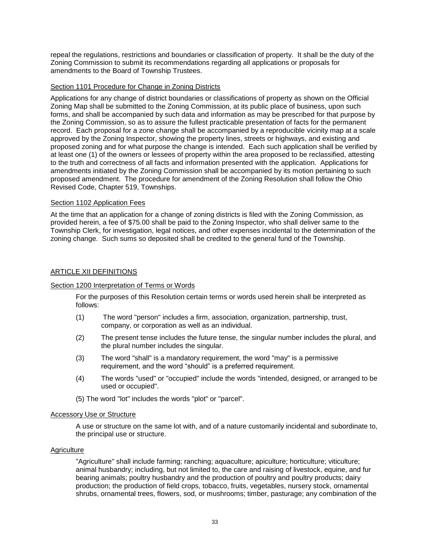repeal the regulations, restrictions and boundaries or classification of property. It shall be the duty of the Zoning Commission to submit its recommendations regarding all applications or proposals for amendments to the Board of Township Trustees.

# Section 1101 Procedure for Change in Zoning Districts

Applications for any change of district boundaries or classifications of property as shown on the Official Zoning Map shall be submitted to the Zoning Commission, at its public place of business, upon such forms, and shall be accompanied by such data and information as may be prescribed for that purpose by the Zoning Commission, so as to assure the fullest practicable presentation of facts for the permanent record. Each proposal for a zone change shall be accompanied by a reproducible vicinity map at a scale approved by the Zoning Inspector, showing the property lines, streets or highways, and existing and proposed zoning and for what purpose the change is intended. Each such application shall be verified by at least one (1) of the owners or lessees of property within the area proposed to be reclassified, attesting to the truth and correctness of all facts and information presented with the application. Applications for amendments initiated by the Zoning Commission shall be accompanied by its motion pertaining to such proposed amendment. The procedure for amendment of the Zoning Resolution shall follow the Ohio Revised Code, Chapter 519, Townships.

# Section 1102 Application Fees

At the time that an application for a change of zoning districts is filed with the Zoning Commission, as provided herein, a fee of \$75.00 shall be paid to the Zoning Inspector, who shall deliver same to the Township Clerk, for investigation, legal notices, and other expenses incidental to the determination of the zoning change. Such sums so deposited shall be credited to the general fund of the Township.

# ARTICLE XII DEFINITIONS

# Section 1200 Interpretation of Terms or Words

For the purposes of this Resolution certain terms or words used herein shall be interpreted as follows:

- (1) The word "person" includes a firm, association, organization, partnership, trust, company, or corporation as well as an individual.
- (2) The present tense includes the future tense, the singular number includes the plural, and the plural number includes the singular.
- (3) The word "shall" is a mandatory requirement, the word "may" is a permissive requirement, and the word "should" is a preferred requirement.
- (4) The words "used" or "occupied" include the words "intended, designed, or arranged to be used or occupied".
- (5) The word "lot" includes the words "plot" or "parcel".

# Accessory Use or Structure

A use or structure on the same lot with, and of a nature customarily incidental and subordinate to, the principal use or structure.

# **Agriculture**

"Agriculture" shall include farming; ranching; aquaculture; apiculture; horticulture; viticulture; animal husbandry; including, but not limited to, the care and raising of livestock, equine, and fur bearing animals; poultry husbandry and the production of poultry and poultry products; dairy production; the production of field crops, tobacco, fruits, vegetables, nursery stock, ornamental shrubs, ornamental trees, flowers, sod, or mushrooms; timber, pasturage; any combination of the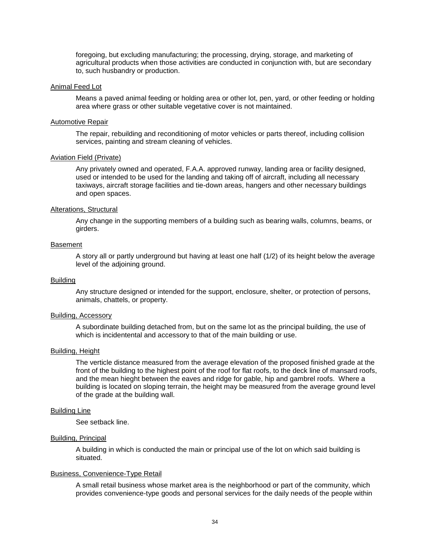foregoing, but excluding manufacturing; the processing, drying, storage, and marketing of agricultural products when those activities are conducted in conjunction with, but are secondary to, such husbandry or production.

#### Animal Feed Lot

Means a paved animal feeding or holding area or other lot, pen, yard, or other feeding or holding area where grass or other suitable vegetative cover is not maintained.

#### Automotive Repair

The repair, rebuilding and reconditioning of motor vehicles or parts thereof, including collision services, painting and stream cleaning of vehicles.

#### Aviation Field (Private)

Any privately owned and operated, F.A.A. approved runway, landing area or facility designed, used or intended to be used for the landing and taking off of aircraft, including all necessary taxiways, aircraft storage facilities and tie-down areas, hangers and other necessary buildings and open spaces.

#### Alterations, Structural

Any change in the supporting members of a building such as bearing walls, columns, beams, or girders.

#### Basement

A story all or partly underground but having at least one half (1/2) of its height below the average level of the adjoining ground.

#### Building

Any structure designed or intended for the support, enclosure, shelter, or protection of persons, animals, chattels, or property.

#### Building, Accessory

A subordinate building detached from, but on the same lot as the principal building, the use of which is incidentental and accessory to that of the main building or use.

#### Building, Height

The verticle distance measured from the average elevation of the proposed finished grade at the front of the building to the highest point of the roof for flat roofs, to the deck line of mansard roofs, and the mean hieght between the eaves and ridge for gable, hip and gambrel roofs. Where a building is located on sloping terrain, the height may be measured from the average ground level of the grade at the building wall.

#### Building Line

See setback line.

# Building, Principal

A building in which is conducted the main or principal use of the lot on which said building is situated.

#### Business, Convenience-Type Retail

A small retail business whose market area is the neighborhood or part of the community, which provides convenience-type goods and personal services for the daily needs of the people within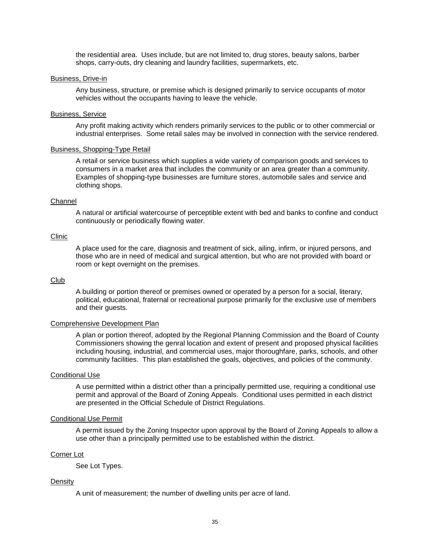the residential area. Uses include, but are not limited to, drug stores, beauty salons, barber shops, carry-outs, dry cleaning and laundry facilities, supermarkets, etc.

#### Business, Drive-in

Any business, structure, or premise which is designed primarily to service occupants of motor vehicles without the occupants having to leave the vehicle.

#### Business, Service

Any profit making activity which renders primarily services to the public or to other commercial or industrial enterprises. Some retail sales may be involved in connection with the service rendered.

#### Business, Shopping-Type Retail

A retail or service business which supplies a wide variety of comparison goods and services to consumers in a market area that includes the community or an area greater than a community. Examples of shopping-type businesses are furniture stores, automobile sales and service and clothing shops.

#### **Channel**

A natural or artificial watercourse of perceptible extent with bed and banks to confine and conduct continuously or periodically flowing water.

#### Clinic

A place used for the care, diagnosis and treatment of sick, ailing, infirm, or injured persons, and those who are in need of medical and surgical attention, but who are not provided with board or room or kept overnight on the premises.

#### Club

A building or portion thereof or premises owned or operated by a person for a social, literary, political, educational, fraternal or recreational purpose primarily for the exclusive use of members and their guests.

#### Comprehensive Development Plan

A plan or portion thereof, adopted by the Regional Planning Commission and the Board of County Commissioners showing the genral location and extent of present and proposed physical facilities including housing, industrial, and commercial uses, major thoroughfare, parks, schools, and other community facilities. This plan established the goals, objectives, and policies of the community.

#### Conditional Use

A use permitted within a district other than a principally permitted use, requiring a conditional use permit and approval of the Board of Zoning Appeals. Conditional uses permitted in each district are presented in the Official Schedule of District Regulations.

#### Conditional Use Permit

A permit issued by the Zoning Inspector upon approval by the Board of Zoning Appeals to allow a use other than a principally permitted use to be established within the district.

#### Corner Lot

See Lot Types.

#### Density

A unit of measurement; the number of dwelling units per acre of land.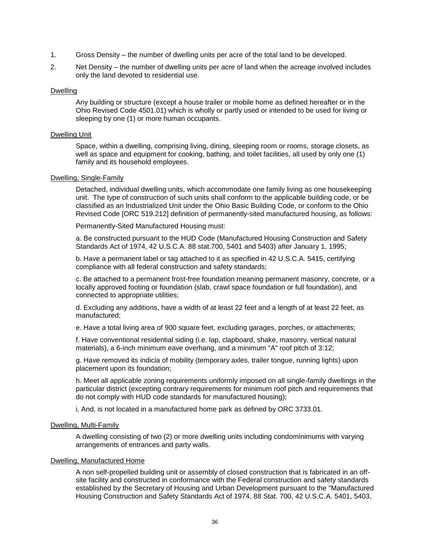- 1. Gross Density the number of dwelling units per acre of the total land to be developed.
- 2. Net Density the number of dwelling units per acre of land when the acreage involved includes only the land devoted to residential use.

#### Dwelling

Any building or structure (except a house trailer or mobile home as defined hereafter or in the Ohio Revised Code 4501.01) which is wholly or partly used or intended to be used for living or sleeping by one (1) or more human occupants.

#### Dwelling Unit

Space, within a dwelling, comprising living, dining, sleeping room or rooms, storage closets, as well as space and equipment for cooking, bathing, and toilet facilities, all used by only one (1) family and its household employees.

#### Dwelling, Single-Family

Detached, individual dwelling units, which accommodate one family living as one housekeeping unit. The type of construction of such units shall conform to the applicable building code, or be classified as an Industrialized Unit under the Ohio Basic Building Code, or conform to the Ohio Revised Code [ORC 519.212] definition of permanently-sited manufactured housing, as follows:

Permanently-Sited Manufactured Housing must:

a. Be constructed pursuant to the HUD Code (Manufactured Housing Construction and Safety Standards Act of 1974, 42 U.S.C.A. 88 stat.700, 5401 and 5403) after January 1, 1995;

b. Have a permanent label or tag attached to it as specified in 42 U.S.C.A. 5415, certifying compliance with all federal construction and safety standards;

c. Be attached to a permanent frost-free foundation meaning permanent masonry, concrete, or a locally approved footing or foundation (slab, crawl space foundation or full foundation), and connected to appropriate utilities;

d. Excluding any additions, have a width of at least 22 feet and a length of at least 22 feet, as manufactured;

e. Have a total living area of 900 square feet, excluding garages, porches, or attachments;

f. Have conventional residential siding (i.e. lap, clapboard, shake, masonry, vertical natural materials), a 6-inch minimum eave overhang, and a minimum "A" roof pitch of 3:12;

g. Have removed its indicia of mobility (temporary axles, trailer tongue, running lights) upon placement upon its foundation;

h. Meet all applicable zoning requirements uniformly imposed on all single-family dwellings in the particular district (excepting contrary requirements for minimum roof pitch and requirements that do not comply with HUD code standards for manufactured housing);

i. And, is not located in a manufactured home park as defined by ORC 3733.01.

#### Dwelling, Multi-Family

A dwelling consisting of two (2) or more dwelling units including condominimums with varying arrangements of entrances and party walls.

#### Dwelling, Manufactured Home

A non self-propelled building unit or assembly of closed construction that is fabricated in an offsite facility and constructed in conformance with the Federal construction and safety standards established by the Secretary of Housing and Urban Development pursuant to the "Manufactured Housing Construction and Safety Standards Act of 1974, 88 Stat. 700, 42 U.S.C.A. 5401, 5403,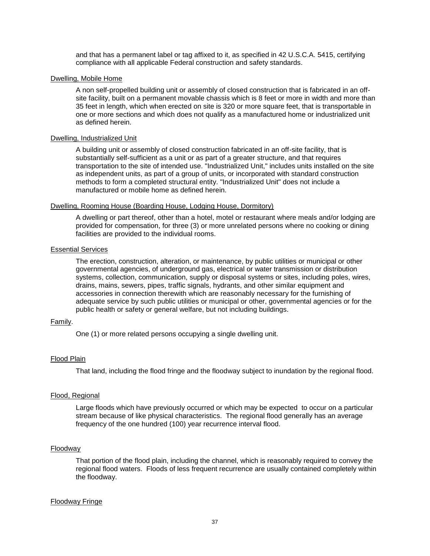and that has a permanent label or tag affixed to it, as specified in 42 U.S.C.A. 5415, certifying compliance with all applicable Federal construction and safety standards.

#### Dwelling, Mobile Home

A non self-propelled building unit or assembly of closed construction that is fabricated in an offsite facility, built on a permanent movable chassis which is 8 feet or more in width and more than 35 feet in length, which when erected on site is 320 or more square feet, that is transportable in one or more sections and which does not qualify as a manufactured home or industrialized unit as defined herein.

#### Dwelling, Industrialized Unit

A building unit or assembly of closed construction fabricated in an off-site facility, that is substantially self-sufficient as a unit or as part of a greater structure, and that requires transportation to the site of intended use. "Industrialized Unit," includes units installed on the site as independent units, as part of a group of units, or incorporated with standard construction methods to form a completed structural entity. "Industrialized Unit" does not include a manufactured or mobile home as defined herein.

#### Dwelling, Rooming House (Boarding House, Lodging House, Dormitory)

A dwelling or part thereof, other than a hotel, motel or restaurant where meals and/or lodging are provided for compensation, for three (3) or more unrelated persons where no cooking or dining facilities are provided to the individual rooms.

#### Essential Services

The erection, construction, alteration, or maintenance, by public utilities or municipal or other governmental agencies, of underground gas, electrical or water transmission or distribution systems, collection, communication, supply or disposal systems or sites, including poles, wires, drains, mains, sewers, pipes, traffic signals, hydrants, and other similar equipment and accessories in connection therewith which are reasonably necessary for the furnishing of adequate service by such public utilities or municipal or other, governmental agencies or for the public health or safety or general welfare, but not including buildings.

# Family.

One (1) or more related persons occupying a single dwelling unit.

# Flood Plain

That land, including the flood fringe and the floodway subject to inundation by the regional flood.

# Flood, Regional

Large floods which have previously occurred or which may be expected to occur on a particular stream because of like physical characteristics. The regional flood generally has an average frequency of the one hundred (100) year recurrence interval flood.

#### Floodway

That portion of the flood plain, including the channel, which is reasonably required to convey the regional flood waters. Floods of less frequent recurrence are usually contained completely within the floodway.

#### Floodway Fringe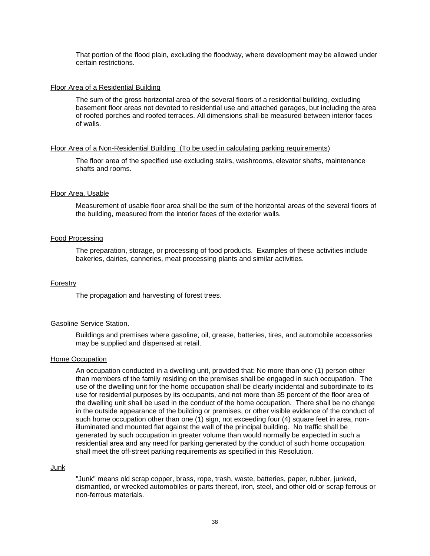That portion of the flood plain, excluding the floodway, where development may be allowed under certain restrictions.

#### Floor Area of a Residential Building

The sum of the gross horizontal area of the several floors of a residential building, excluding basement floor areas not devoted to residential use and attached garages, but including the area of roofed porches and roofed terraces. All dimensions shall be measured between interior faces of walls.

#### Floor Area of a Non-Residential Building (To be used in calculating parking requirements)

The floor area of the specified use excluding stairs, washrooms, elevator shafts, maintenance shafts and rooms.

## Floor Area, Usable

Measurement of usable floor area shall be the sum of the horizontal areas of the several floors of the building, measured from the interior faces of the exterior walls.

#### Food Processing

The preparation, storage, or processing of food products. Examples of these activities include bakeries, dairies, canneries, meat processing plants and similar activities.

#### Forestry

The propagation and harvesting of forest trees.

#### Gasoline Service Station.

Buildings and premises where gasoline, oil, grease, batteries, tires, and automobile accessories may be supplied and dispensed at retail.

#### Home Occupation

An occupation conducted in a dwelling unit, provided that: No more than one (1) person other than members of the family residing on the premises shall be engaged in such occupation. The use of the dwelling unit for the home occupation shall be clearly incidental and subordinate to its use for residential purposes by its occupants, and not more than 35 percent of the floor area of the dwelling unit shall be used in the conduct of the home occupation. There shall be no change in the outside appearance of the building or premises, or other visible evidence of the conduct of such home occupation other than one (1) sign, not exceeding four (4) square feet in area, nonilluminated and mounted flat against the wall of the principal building. No traffic shall be generated by such occupation in greater volume than would normally be expected in such a residential area and any need for parking generated by the conduct of such home occupation shall meet the off-street parking requirements as specified in this Resolution.

#### Junk

"Junk" means old scrap copper, brass, rope, trash, waste, batteries, paper, rubber, junked, dismantled, or wrecked automobiles or parts thereof, iron, steel, and other old or scrap ferrous or non-ferrous materials.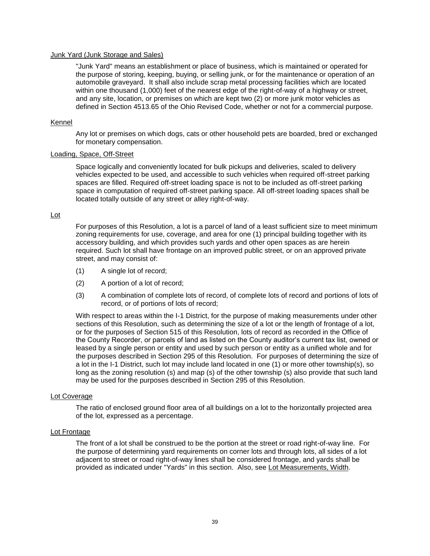## Junk Yard (Junk Storage and Sales)

"Junk Yard" means an establishment or place of business, which is maintained or operated for the purpose of storing, keeping, buying, or selling junk, or for the maintenance or operation of an automobile graveyard. It shall also include scrap metal processing facilities which are located within one thousand (1,000) feet of the nearest edge of the right-of-way of a highway or street, and any site, location, or premises on which are kept two (2) or more junk motor vehicles as defined in Section 4513.65 of the Ohio Revised Code, whether or not for a commercial purpose.

#### Kennel

Any lot or premises on which dogs, cats or other household pets are boarded, bred or exchanged for monetary compensation.

# Loading, Space, Off-Street

Space logically and conveniently located for bulk pickups and deliveries, scaled to delivery vehicles expected to be used, and accessible to such vehicles when required off-street parking spaces are filled. Required off-street loading space is not to be included as off-street parking space in computation of required off-street parking space. All off-street loading spaces shall be located totally outside of any street or alley right-of-way.

#### Lot

For purposes of this Resolution, a lot is a parcel of land of a least sufficient size to meet minimum zoning requirements for use, coverage, and area for one (1) principal building together with its accessory building, and which provides such yards and other open spaces as are herein required. Such lot shall have frontage on an improved public street, or on an approved private street, and may consist of:

- (1) A single lot of record;
- (2) A portion of a lot of record;
- (3) A combination of complete lots of record, of complete lots of record and portions of lots of record, or of portions of lots of record;

With respect to areas within the I-1 District, for the purpose of making measurements under other sections of this Resolution, such as determining the size of a lot or the length of frontage of a lot, or for the purposes of Section 515 of this Resolution, lots of record as recorded in the Office of the County Recorder, or parcels of land as listed on the County auditor's current tax list, owned or leased by a single person or entity and used by such person or entity as a unified whole and for the purposes described in Section 295 of this Resolution. For purposes of determining the size of a lot in the I-1 District, such lot may include land located in one (1) or more other township(s), so long as the zoning resolution (s) and map (s) of the other township (s) also provide that such land may be used for the purposes described in Section 295 of this Resolution.

#### Lot Coverage

The ratio of enclosed ground floor area of all buildings on a lot to the horizontally projected area of the lot, expressed as a percentage.

#### Lot Frontage

The front of a lot shall be construed to be the portion at the street or road right-of-way line. For the purpose of determining yard requirements on corner lots and through lots, all sides of a lot adjacent to street or road right-of-way lines shall be considered frontage, and yards shall be provided as indicated under "Yards" in this section. Also, see Lot Measurements, Width.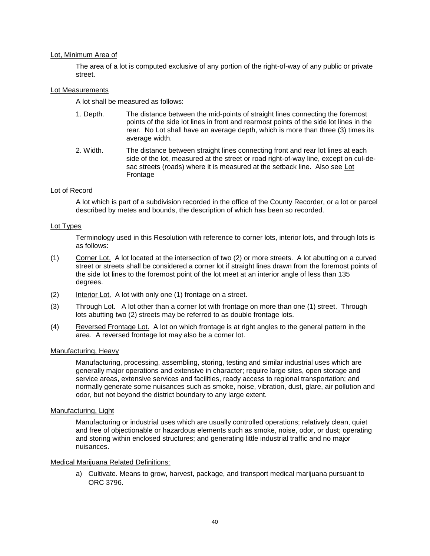# Lot, Minimum Area of

The area of a lot is computed exclusive of any portion of the right-of-way of any public or private street.

# Lot Measurements

A lot shall be measured as follows:

- 1. Depth. The distance between the mid-points of straight lines connecting the foremost points of the side lot lines in front and rearmost points of the side lot lines in the rear. No Lot shall have an average depth, which is more than three (3) times its average width.
- 2. Width. The distance between straight lines connecting front and rear lot lines at each side of the lot, measured at the street or road right-of-way line, except on cul-desac streets (roads) where it is measured at the setback line. Also see Lot **Frontage**

# Lot of Record

A lot which is part of a subdivision recorded in the office of the County Recorder, or a lot or parcel described by metes and bounds, the description of which has been so recorded.

# Lot Types

Terminology used in this Resolution with reference to corner lots, interior lots, and through lots is as follows:

- (1) Corner Lot. A lot located at the intersection of two (2) or more streets. A lot abutting on a curved street or streets shall be considered a corner lot if straight lines drawn from the foremost points of the side lot lines to the foremost point of the lot meet at an interior angle of less than 135 degrees.
- (2) Interior Lot. A lot with only one (1) frontage on a street.
- (3) Through Lot. A lot other than a corner lot with frontage on more than one (1) street. Through lots abutting two (2) streets may be referred to as double frontage lots.
- (4) Reversed Frontage Lot. A lot on which frontage is at right angles to the general pattern in the area. A reversed frontage lot may also be a corner lot.

# Manufacturing, Heavy

Manufacturing, processing, assembling, storing, testing and similar industrial uses which are generally major operations and extensive in character; require large sites, open storage and service areas, extensive services and facilities, ready access to regional transportation; and normally generate some nuisances such as smoke, noise, vibration, dust, glare, air pollution and odor, but not beyond the district boundary to any large extent.

# Manufacturing, Light

Manufacturing or industrial uses which are usually controlled operations; relatively clean, quiet and free of objectionable or hazardous elements such as smoke, noise, odor, or dust; operating and storing within enclosed structures; and generating little industrial traffic and no major nuisances.

# Medical Marijuana Related Definitions:

a) Cultivate. Means to grow, harvest, package, and transport medical marijuana pursuant to ORC 3796.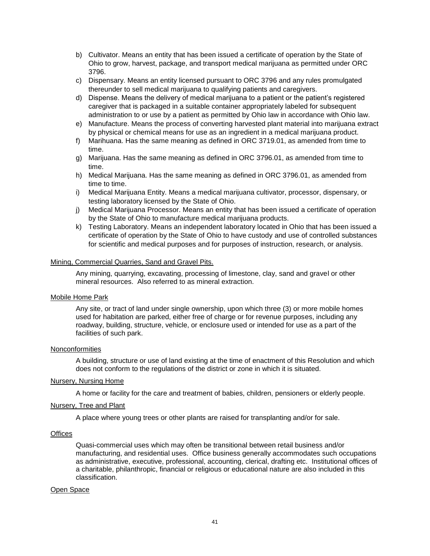- b) Cultivator. Means an entity that has been issued a certificate of operation by the State of Ohio to grow, harvest, package, and transport medical marijuana as permitted under ORC 3796.
- c) Dispensary. Means an entity licensed pursuant to ORC 3796 and any rules promulgated thereunder to sell medical marijuana to qualifying patients and caregivers.
- d) Dispense. Means the delivery of medical marijuana to a patient or the patient's registered caregiver that is packaged in a suitable container appropriately labeled for subsequent administration to or use by a patient as permitted by Ohio law in accordance with Ohio law.
- e) Manufacture. Means the process of converting harvested plant material into marijuana extract by physical or chemical means for use as an ingredient in a medical marijuana product.
- f) Marihuana. Has the same meaning as defined in ORC 3719.01, as amended from time to time.
- g) Marijuana. Has the same meaning as defined in ORC 3796.01, as amended from time to time.
- h) Medical Marijuana. Has the same meaning as defined in ORC 3796.01, as amended from time to time.
- i) Medical Marijuana Entity. Means a medical marijuana cultivator, processor, dispensary, or testing laboratory licensed by the State of Ohio.
- j) Medical Marijuana Processor. Means an entity that has been issued a certificate of operation by the State of Ohio to manufacture medical marijuana products.
- k) Testing Laboratory. Means an independent laboratory located in Ohio that has been issued a certificate of operation by the State of Ohio to have custody and use of controlled substances for scientific and medical purposes and for purposes of instruction, research, or analysis.

#### Mining, Commercial Quarries, Sand and Gravel Pits.

Any mining, quarrying, excavating, processing of limestone, clay, sand and gravel or other mineral resources. Also referred to as mineral extraction.

#### Mobile Home Park

Any site, or tract of land under single ownership, upon which three (3) or more mobile homes used for habitation are parked, either free of charge or for revenue purposes, including any roadway, building, structure, vehicle, or enclosure used or intended for use as a part of the facilities of such park.

#### Nonconformities

A building, structure or use of land existing at the time of enactment of this Resolution and which does not conform to the regulations of the district or zone in which it is situated.

#### Nursery, Nursing Home

A home or facility for the care and treatment of babies, children, pensioners or elderly people.

#### Nursery, Tree and Plant

A place where young trees or other plants are raised for transplanting and/or for sale.

#### **Offices**

Quasi-commercial uses which may often be transitional between retail business and/or manufacturing, and residential uses. Office business generally accommodates such occupations as administrative, executive, professional, accounting, clerical, drafting etc. Institutional offices of a charitable, philanthropic, financial or religious or educational nature are also included in this classification.

# Open Space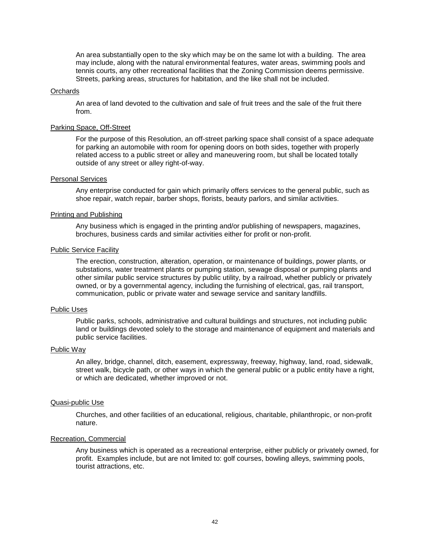An area substantially open to the sky which may be on the same lot with a building. The area may include, along with the natural environmental features, water areas, swimming pools and tennis courts, any other recreational facilities that the Zoning Commission deems permissive. Streets, parking areas, structures for habitation, and the like shall not be included.

#### **Orchards**

An area of land devoted to the cultivation and sale of fruit trees and the sale of the fruit there from.

#### Parking Space, Off-Street

For the purpose of this Resolution, an off-street parking space shall consist of a space adequate for parking an automobile with room for opening doors on both sides, together with properly related access to a public street or alley and maneuvering room, but shall be located totally outside of any street or alley right-of-way.

#### Personal Services

Any enterprise conducted for gain which primarily offers services to the general public, such as shoe repair, watch repair, barber shops, florists, beauty parlors, and similar activities.

# Printing and Publishing

Any business which is engaged in the printing and/or publishing of newspapers, magazines, brochures, business cards and similar activities either for profit or non-profit.

#### Public Service Facility

The erection, construction, alteration, operation, or maintenance of buildings, power plants, or substations, water treatment plants or pumping station, sewage disposal or pumping plants and other similar public service structures by public utility, by a railroad, whether publicly or privately owned, or by a governmental agency, including the furnishing of electrical, gas, rail transport, communication, public or private water and sewage service and sanitary landfills.

#### Public Uses

Public parks, schools, administrative and cultural buildings and structures, not including public land or buildings devoted solely to the storage and maintenance of equipment and materials and public service facilities.

#### Public Way

An alley, bridge, channel, ditch, easement, expressway, freeway, highway, land, road, sidewalk, street walk, bicycle path, or other ways in which the general public or a public entity have a right, or which are dedicated, whether improved or not.

#### Quasi-public Use

Churches, and other facilities of an educational, religious, charitable, philanthropic, or non-profit nature.

#### Recreation, Commercial

Any business which is operated as a recreational enterprise, either publicly or privately owned, for profit. Examples include, but are not limited to: golf courses, bowling alleys, swimming pools, tourist attractions, etc.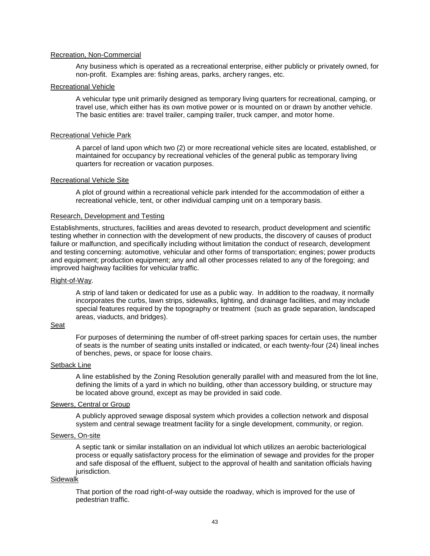#### Recreation, Non-Commercial

Any business which is operated as a recreational enterprise, either publicly or privately owned, for non-profit. Examples are: fishing areas, parks, archery ranges, etc.

#### Recreational Vehicle

A vehicular type unit primarily designed as temporary living quarters for recreational, camping, or travel use, which either has its own motive power or is mounted on or drawn by another vehicle. The basic entities are: travel trailer, camping trailer, truck camper, and motor home.

#### Recreational Vehicle Park

A parcel of land upon which two (2) or more recreational vehicle sites are located, established, or maintained for occupancy by recreational vehicles of the general public as temporary living quarters for recreation or vacation purposes.

#### Recreational Vehicle Site

A plot of ground within a recreational vehicle park intended for the accommodation of either a recreational vehicle, tent, or other individual camping unit on a temporary basis.

#### Research, Development and Testing

Establishments, structures, facilities and areas devoted to research, product development and scientific testing whether in connection with the development of new products, the discovery of causes of product failure or malfunction, and specifically including without limitation the conduct of research, development and testing concerning: automotive, vehicular and other forms of transportation; engines; power products and equipment; production equipment; any and all other processes related to any of the foregoing; and improved haighway facilities for vehicular traffic.

#### Right-of-Way.

A strip of land taken or dedicated for use as a public way. In addition to the roadway, it normally incorporates the curbs, lawn strips, sidewalks, lighting, and drainage facilities, and may include special features required by the topography or treatment (such as grade separation, landscaped areas, viaducts, and bridges).

# Seat

For purposes of determining the number of off-street parking spaces for certain uses, the number of seats is the number of seating units installed or indicated, or each twenty-four (24) lineal inches of benches, pews, or space for loose chairs.

#### Setback Line

A line established by the Zoning Resolution generally parallel with and measured from the lot line, defining the limits of a yard in which no building, other than accessory building, or structure may be located above ground, except as may be provided in said code.

#### Sewers, Central or Group

A publicly approved sewage disposal system which provides a collection network and disposal system and central sewage treatment facility for a single development, community, or region.

#### Sewers, On-site

A septic tank or similar installation on an individual lot which utilizes an aerobic bacteriological process or equally satisfactory process for the elimination of sewage and provides for the proper and safe disposal of the effluent, subject to the approval of health and sanitation officials having jurisdiction.

# Sidewalk

That portion of the road right-of-way outside the roadway, which is improved for the use of pedestrian traffic.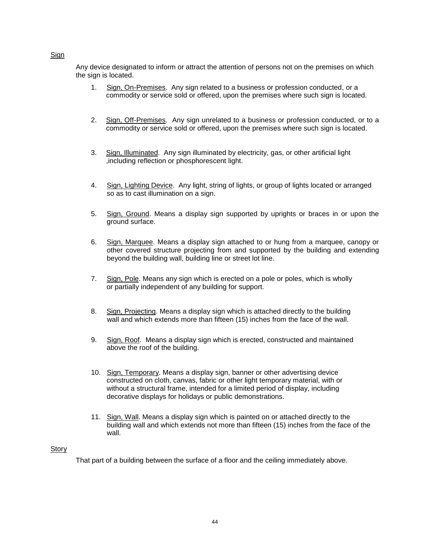# Sign

Any device designated to inform or attract the attention of persons not on the premises on which the sign is located.

- 1. Sign, On-Premises. Any sign related to a business or profession conducted, or a commodity or service sold or offered, upon the premises where such sign is located.
- 2. Sign, Off-Premises. Any sign unrelated to a business or profession conducted, or to a commodity or service sold or offered, upon the premises where such sign is located.
- 3. Sign, Illuminated. Any sign illuminated by electricity, gas, or other artificial light ,including reflection or phosphorescent light.
- 4. Sign, Lighting Device. Any light, string of lights, or group of lights located or arranged so as to cast illumination on a sign.
- 5. Sign, Ground. Means a display sign supported by uprights or braces in or upon the ground surface.
- 6. Sign, Marquee. Means a display sign attached to or hung from a marquee, canopy or other covered structure projecting from and supported by the building and extending beyond the building wall, building line or street lot line.
- 7. Sign, Pole. Means any sign which is erected on a pole or poles, which is wholly or partially independent of any building for support.
- 8. Sign, Projecting. Means a display sign which is attached directly to the building wall and which extends more than fifteen (15) inches from the face of the wall.
- 9. Sign, Roof. Means a display sign which is erected, constructed and maintained above the roof of the building.
- 10. Sign, Temporary. Means a display sign, banner or other advertising device constructed on cloth, canvas, fabric or other light temporary material, with or without a structural frame, intended for a limited period of display, including decorative displays for holidays or public demonstrations.
- 11. Sign, Wall. Means a display sign which is painted on or attached directly to the building wall and which extends not more than fifteen (15) inches from the face of the wall.

# **Story**

That part of a building between the surface of a floor and the ceiling immediately above.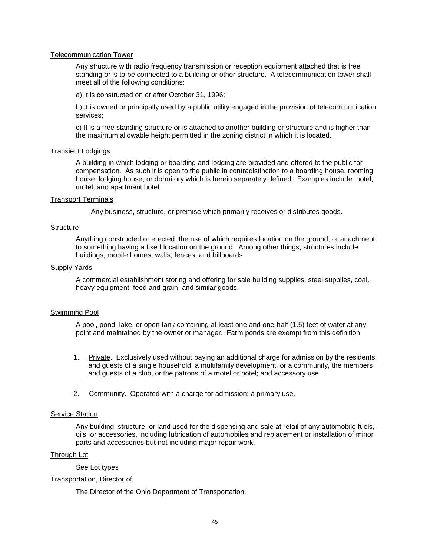## Telecommunication Tower

Any structure with radio frequency transmission or reception equipment attached that is free standing or is to be connected to a building or other structure. A telecommunication tower shall meet all of the following conditions:

a) It is constructed on or after October 31, 1996;

b) It is owned or principally used by a public utility engaged in the provision of telecommunication services;

c) It is a free standing structure or is attached to another building or structure and is higher than the maximum allowable height permitted in the zoning district in which it is located.

# Transient Lodgings

A building in which lodging or boarding and lodging are provided and offered to the public for compensation. As such it is open to the public in contradistinction to a boarding house, rooming house, lodging house, or dormitory which is herein separately defined. Examples include: hotel, motel, and apartment hotel.

#### Transport Terminals

Any business, structure, or premise which primarily receives or distributes goods.

#### **Structure**

Anything constructed or erected, the use of which requires location on the ground, or attachment to something having a fixed location on the ground. Among other things, structures include buildings, mobile homes, walls, fences, and billboards.

#### Supply Yards

A commercial establishment storing and offering for sale building supplies, steel supplies, coal, heavy equipment, feed and grain, and similar goods.

# Swimming Pool

A pool, pond, lake, or open tank containing at least one and one-half (1.5) feet of water at any point and maintained by the owner or manager. Farm ponds are exempt from this definition.

- 1. Private. Exclusively used without paying an additional charge for admission by the residents and guests of a single household, a multifamily development, or a community, the members and guests of a club, or the patrons of a motel or hotel; and accessory use.
- 2. Community. Operated with a charge for admission; a primary use.

#### Service Station

Any building, structure, or land used for the dispensing and sale at retail of any automobile fuels, oils, or accessories, including lubrication of automobiles and replacement or installation of minor parts and accessories but not including major repair work.

#### Through Lot

See Lot types

#### Transportation, Director of

The Director of the Ohio Department of Transportation.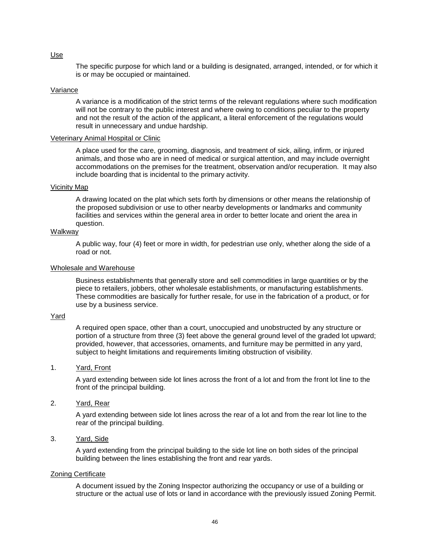The specific purpose for which land or a building is designated, arranged, intended, or for which it is or may be occupied or maintained.

#### Variance

A variance is a modification of the strict terms of the relevant regulations where such modification will not be contrary to the public interest and where owing to conditions peculiar to the property and not the result of the action of the applicant, a literal enforcement of the regulations would result in unnecessary and undue hardship.

#### Veterinary Animal Hospital or Clinic

A place used for the care, grooming, diagnosis, and treatment of sick, ailing, infirm, or injured animals, and those who are in need of medical or surgical attention, and may include overnight accommodations on the premises for the treatment, observation and/or recuperation. It may also include boarding that is incidental to the primary activity.

#### Vicinity Map

A drawing located on the plat which sets forth by dimensions or other means the relationship of the proposed subdivision or use to other nearby developments or landmarks and community facilities and services within the general area in order to better locate and orient the area in question.

#### Walkway

A public way, four (4) feet or more in width, for pedestrian use only, whether along the side of a road or not.

#### Wholesale and Warehouse

Business establishments that generally store and sell commodities in large quantities or by the piece to retailers, jobbers, other wholesale establishments, or manufacturing establishments. These commodities are basically for further resale, for use in the fabrication of a product, or for use by a business service.

#### Yard

A required open space, other than a court, unoccupied and unobstructed by any structure or portion of a structure from three (3) feet above the general ground level of the graded lot upward; provided, however, that accessories, ornaments, and furniture may be permitted in any yard, subject to height limitations and requirements limiting obstruction of visibility.

#### 1. Yard, Front

A yard extending between side lot lines across the front of a lot and from the front lot line to the front of the principal building.

# 2. Yard, Rear

A yard extending between side lot lines across the rear of a lot and from the rear lot line to the rear of the principal building.

#### 3. Yard, Side

A yard extending from the principal building to the side lot line on both sides of the principal building between the lines establishing the front and rear yards.

#### Zoning Certificate

A document issued by the Zoning Inspector authorizing the occupancy or use of a building or structure or the actual use of lots or land in accordance with the previously issued Zoning Permit.

#### Use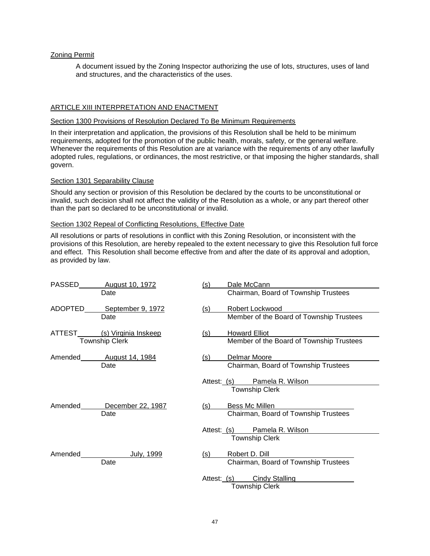# Zoning Permit

A document issued by the Zoning Inspector authorizing the use of lots, structures, uses of land and structures, and the characteristics of the uses.

# ARTICLE XIII INTERPRETATION AND ENACTMENT

#### Section 1300 Provisions of Resolution Declared To Be Minimum Requirements

In their interpretation and application, the provisions of this Resolution shall be held to be minimum requirements, adopted for the promotion of the public health, morals, safety, or the general welfare. Whenever the requirements of this Resolution are at variance with the requirements of any other lawfully adopted rules, regulations, or ordinances, the most restrictive, or that imposing the higher standards, shall govern.

#### Section 1301 Separability Clause

Should any section or provision of this Resolution be declared by the courts to be unconstitutional or invalid, such decision shall not affect the validity of the Resolution as a whole, or any part thereof other than the part so declared to be unconstitutional or invalid.

#### Section 1302 Repeal of Conflicting Resolutions, Effective Date

All resolutions or parts of resolutions in conflict with this Zoning Resolution, or inconsistent with the provisions of this Resolution, are hereby repealed to the extent necessary to give this Resolution full force and effect. This Resolution shall become effective from and after the date of its approval and adoption, as provided by law.

| PASSED  | August 10, 1972                | (s) | Dale McCann                              |
|---------|--------------------------------|-----|------------------------------------------|
|         | Date                           |     | Chairman, Board of Township Trustees     |
|         | ADOPTED______September 9, 1972 | (s) | Robert Lockwood                          |
|         | Date                           |     | Member of the Board of Township Trustees |
|         | ATTEST (s) Virginia Inskeep    | (s) | <b>Howard Elliot</b>                     |
|         | <b>Township Clerk</b>          |     | Member of the Board of Township Trustees |
|         | Amended August 14, 1984        | (s) | Delmar Moore                             |
|         | Date                           |     | Chairman, Board of Township Trustees     |
|         |                                |     | Attest: (s) Pamela R. Wilson             |
|         |                                |     | <b>Township Clerk</b>                    |
| Amended | December 22, 1987              | (s) | Bess Mc Millen                           |
|         | Date                           |     | Chairman, Board of Township Trustees     |
|         |                                |     | Attest: (s) Pamela R. Wilson             |
|         |                                |     | <b>Township Clerk</b>                    |
| Amended | July, 1999                     | (s) | Robert D. Dill                           |
|         | Date                           |     | Chairman, Board of Township Trustees     |
|         |                                |     | Attest: (s) Cindy Stalling               |
|         |                                |     | <b>Township Clerk</b>                    |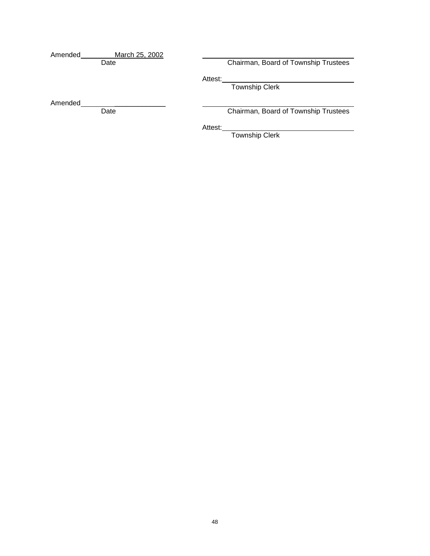| Amended | March 25, 2002 |         |                                      |
|---------|----------------|---------|--------------------------------------|
|         | Date           |         | Chairman, Board of Township Trustees |
|         |                | Attest: |                                      |
|         |                |         | <b>Township Clerk</b>                |
|         |                |         |                                      |
| Amended |                |         |                                      |
|         | Date           |         | Chairman, Board of Township Trustees |
|         |                |         |                                      |
|         |                | Attest: |                                      |
|         |                |         | <b>Township Clerk</b>                |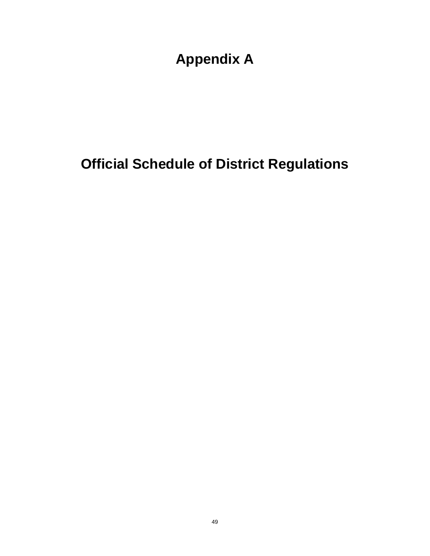**Appendix A**

# **Official Schedule of District Regulations**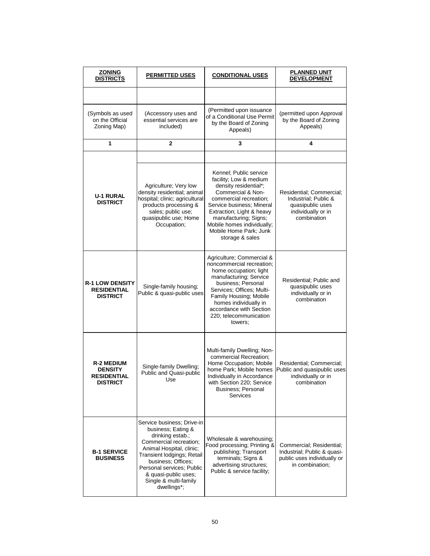| ZONING<br><b>DISTRICTS</b>                                                   | <b>PERMITTED USES</b>                                                                                                                                                                                                                                                       | <b>CONDITIONAL USES</b>                                                                                                                                                                                                                                                                | <b>PLANNED UNIT</b><br><b>DEVELOPMENT</b>                                                                 |  |
|------------------------------------------------------------------------------|-----------------------------------------------------------------------------------------------------------------------------------------------------------------------------------------------------------------------------------------------------------------------------|----------------------------------------------------------------------------------------------------------------------------------------------------------------------------------------------------------------------------------------------------------------------------------------|-----------------------------------------------------------------------------------------------------------|--|
|                                                                              |                                                                                                                                                                                                                                                                             |                                                                                                                                                                                                                                                                                        |                                                                                                           |  |
| (Symbols as used<br>on the Official<br>Zoning Map)                           | (Accessory uses and<br>essential services are<br>included)                                                                                                                                                                                                                  | (Permitted upon issuance<br>of a Conditional Use Permit<br>by the Board of Zoning<br>Appeals)                                                                                                                                                                                          | (permitted upon Approval<br>by the Board of Zoning<br>Appeals)                                            |  |
| 1                                                                            | $\mathbf{2}$                                                                                                                                                                                                                                                                | 3                                                                                                                                                                                                                                                                                      | 4                                                                                                         |  |
|                                                                              |                                                                                                                                                                                                                                                                             |                                                                                                                                                                                                                                                                                        |                                                                                                           |  |
| <b>U-1 RURAL</b><br><b>DISTRICT</b>                                          | Agriculture; Very low<br>density residential; animal<br>hospital; clinic; agricultural<br>products processing &<br>sales; public use;<br>quasipublic use; Home<br>Occupation;                                                                                               | Kennel; Public service<br>facility; Low & medium<br>density residential*;<br>Commercial & Non-<br>commercial recreation;<br>Service business; Mineral<br>Extraction; Light & heavy<br>manufacturing; Signs;<br>Mobile homes individually;<br>Mobile Home Park; Junk<br>storage & sales | Residential; Commercial;<br>Industrial; Public &<br>quasipublic uses<br>individually or in<br>combination |  |
| <b>R-1 LOW DENSITY</b><br><b>RESIDENTIAL</b><br><b>DISTRICT</b>              | Single-family housing;<br>Public & quasi-public uses                                                                                                                                                                                                                        | Agriculture; Commercial &<br>noncommercial recreation;<br>home occupation; light<br>manufacturing; Service<br>business; Personal<br>Services; Offices; Multi-<br>Family Housing; Mobile<br>homes individually in<br>accordance with Section<br>220; telecommunication<br>towers;       | Residential; Public and<br>quasipublic uses<br>individually or in<br>combination                          |  |
| <b>R-2 MEDIUM</b><br><b>DENSITY</b><br><b>RESIDENTIAL</b><br><b>DISTRICT</b> | Single-family Dwelling;<br>Public and Quasi-public<br>Use                                                                                                                                                                                                                   | Multi-family Dwelling; Non-<br>commercial Recreation;<br>Home Occupation; Mobile<br>home Park; Mobile homes<br>Individually in Accordance<br>with Section 220; Service<br>Business; Personal<br>Services                                                                               | Residential: Commercial:<br>Public and quasipublic uses<br>individually or in<br>combination              |  |
| <b>B-1 SERVICE</b><br><b>BUSINESS</b>                                        | Service business; Drive-in<br>business; Eating &<br>drinking estab.;<br>Commercial recreation;<br>Animal Hospital, clinic;<br>Transient lodgings; Retail<br>business: Offices:<br>Personal services; Public<br>& quasi-public uses;<br>Single & multi-family<br>dwellings*; | Wholesale & warehousing;<br>Food processing; Printing &<br>publishing; Transport<br>terminals; Signs &<br>advertising structures;<br>Public & service facility;                                                                                                                        | Commercial; Residential;<br>Industrial; Public & quasi-<br>public uses individually or<br>in combination; |  |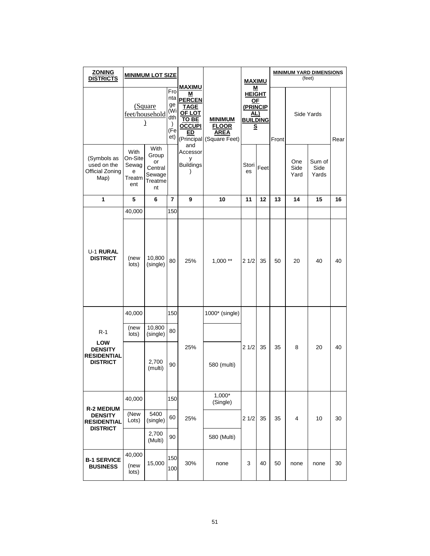| <b>ZONING</b><br><b>DISTRICTS</b>                                            | <b>MINIMUM LOT SIZE</b>                        |                                                           |                                                               |                                                                                              |                                                                           | <b>MAXIMU</b>                                                                     |      |       |                     | <b>MINIMUM YARD DIMENSIONS</b><br>(feet) |      |
|------------------------------------------------------------------------------|------------------------------------------------|-----------------------------------------------------------|---------------------------------------------------------------|----------------------------------------------------------------------------------------------|---------------------------------------------------------------------------|-----------------------------------------------------------------------------------|------|-------|---------------------|------------------------------------------|------|
|                                                                              |                                                | (Square<br>feet/household<br>1                            | Fro<br>nta<br>ge<br>(Wi<br>dth<br>$\mathcal{E}$<br>(Fe<br>et) | <b>MAXIMU</b><br>M<br><b>PERCEN</b><br><b>TAGE</b><br>OF LOT<br>TO BE<br><u>OCCUPI</u><br>ED | <b>MINIMUM</b><br><b>FLOOR</b><br><b>AREA</b><br>(Principal (Square Feet) | M<br><b>HEIGHT</b><br>ΟF<br>(PRINCIP<br><u>AL)</u><br><b>BUILDING</b><br><u>s</u> |      | Front | Side Yards          |                                          | Rear |
| (Symbols as<br>used on the<br>Official Zoning<br>Map)                        | With<br>On-Site<br>Sewag<br>е<br>Treatm<br>ent | With<br>Group<br>or<br>Central<br>Sewage<br>Treatme<br>nt | У                                                             | and<br>Accessor<br><b>Buildings</b>                                                          |                                                                           | Stori<br>es                                                                       | Feet |       | One<br>Side<br>Yard | Sum of<br>Side<br>Yards                  |      |
| 1                                                                            | 5                                              | 6                                                         | 7                                                             | 9                                                                                            | 10                                                                        | 11                                                                                | 12   | 13    | 14                  | 15                                       | 16   |
|                                                                              | 40,000                                         |                                                           | 150                                                           |                                                                                              |                                                                           |                                                                                   |      |       |                     |                                          |      |
| <b>U-1 RURAL</b><br><b>DISTRICT</b>                                          | (new<br>lots)                                  | 10,800<br>(single)                                        | 80                                                            | 25%                                                                                          | $1,000$ **                                                                | 21/2                                                                              | 35   | 50    | 20                  | 40                                       | 40   |
|                                                                              | 40,000                                         |                                                           | 150                                                           |                                                                                              | 1000* (single)                                                            |                                                                                   |      |       |                     |                                          |      |
| $R-1$<br><b>LOW</b>                                                          | (new<br>lots)                                  | 10,800<br>(single)                                        | 80                                                            |                                                                                              |                                                                           |                                                                                   |      |       |                     |                                          |      |
| <b>DENSITY</b><br><b>RESIDENTIAL</b><br><b>DISTRICT</b>                      |                                                | 2,700<br>(multi)                                          | 25%<br>90                                                     | 580 (multi)                                                                                  | 21/2                                                                      | 35                                                                                | 35   | 8     | 20                  | 40                                       |      |
|                                                                              | 40,000                                         |                                                           | 150                                                           |                                                                                              | $1,000*$<br>(Single)                                                      |                                                                                   |      |       |                     |                                          |      |
| <b>R-2 MEDIUM</b><br><b>DENSITY</b><br><b>RESIDENTIAL</b><br><b>DISTRICT</b> | (New<br>Lots)                                  | 5400<br>(single)                                          | 60                                                            | 25%                                                                                          |                                                                           | 21/2                                                                              | 35   | 35    | 4                   | 10                                       | 30   |
|                                                                              |                                                | 2,700<br>(Multi)                                          | 90                                                            |                                                                                              | 580 (Multi)                                                               |                                                                                   |      |       |                     |                                          |      |
| <b>B-1 SERVICE</b><br><b>BUSINESS</b>                                        | 40,000<br>(new<br>lots)                        | 15,000                                                    | 150<br>100                                                    | 30%                                                                                          | none                                                                      | 3                                                                                 | 40   | 50    | none                | none                                     | 30   |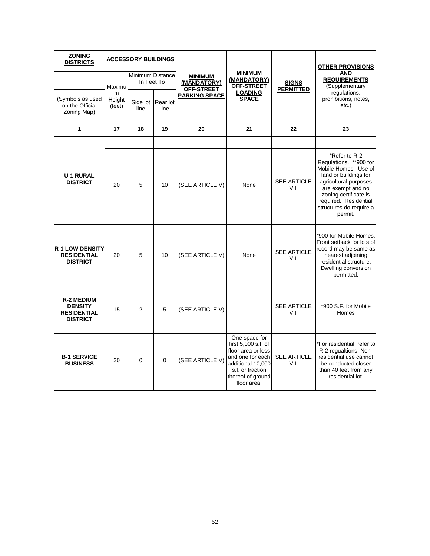| <b>ZONING</b><br><b>DISTRICTS</b>                                            | <b>ACCESSORY BUILDINGS</b>               |                  |                  |                      |                                                                                                                                                             | <b>OTHER PROVISIONS</b>                     |                                                                                                                                                                                                                                 |                                                     |
|------------------------------------------------------------------------------|------------------------------------------|------------------|------------------|----------------------|-------------------------------------------------------------------------------------------------------------------------------------------------------------|---------------------------------------------|---------------------------------------------------------------------------------------------------------------------------------------------------------------------------------------------------------------------------------|-----------------------------------------------------|
|                                                                              | Minimum Distance<br>In Feet To<br>Maximu |                  |                  |                      | <b>MINIMUM</b><br>(MANDATORY)<br>OFF-STREET                                                                                                                 | <b>MINIMUM</b><br>(MANDATORY)<br>OFF-STREET | <b>SIGNS</b><br><b>PERMITTED</b>                                                                                                                                                                                                | <b>AND</b><br><b>REQUIREMENTS</b><br>(Supplementary |
| (Symbols as used<br>on the Official<br>Zoning Map)                           | m<br>Height<br>(feet)                    | Side lot<br>line | Rear lot<br>line | <b>PARKING SPACE</b> | <b>LOADING</b><br><b>SPACE</b>                                                                                                                              |                                             | regulations,<br>prohibitions, notes,<br>$etc.$ )                                                                                                                                                                                |                                                     |
| $\mathbf{1}$                                                                 | 17                                       | 18               | 19               | 20                   | 21                                                                                                                                                          | 22                                          | 23                                                                                                                                                                                                                              |                                                     |
|                                                                              |                                          |                  |                  |                      |                                                                                                                                                             |                                             |                                                                                                                                                                                                                                 |                                                     |
| <b>U-1 RURAL</b><br><b>DISTRICT</b>                                          | 20                                       | 5                | 10               | (SEE ARTICLE V)      | None                                                                                                                                                        | <b>SEE ARTICLE</b><br>VIII                  | *Refer to R-2<br>Regulations. ** 900 for<br>Mobile Homes. Use of<br>land or buildings for<br>agricultural purposes<br>are exempt and no<br>zoning certificate is<br>required. Residential<br>structures do require a<br>permit. |                                                     |
| <b>R-1 LOW DENSITY</b><br><b>RESIDENTIAL</b><br><b>DISTRICT</b>              | 20                                       | 5                | 10               | (SEE ARTICLE V)      | None                                                                                                                                                        | <b>SEE ARTICLE</b><br>VIII                  | *900 for Mobile Homes.<br>Front setback for lots of<br>record may be same as<br>nearest adjoining<br>residential structure.<br>Dwelling conversion<br>permitted.                                                                |                                                     |
| <b>R-2 MEDIUM</b><br><b>DENSITY</b><br><b>RESIDENTIAL</b><br><b>DISTRICT</b> | 15                                       | $\overline{2}$   | 5                | (SEE ARTICLE V)      |                                                                                                                                                             | <b>SEE ARTICLE</b><br>VIII                  | *900 S.F. for Mobile<br>Homes                                                                                                                                                                                                   |                                                     |
| <b>B-1 SERVICE</b><br><b>BUSINESS</b>                                        | 20                                       | 0                | $\mathbf 0$      | (SEE ARTICLE V)      | One space for<br>first 5,000 s.f. of<br>floor area or less<br>and one for each<br>additional 10,000<br>s.f. or fraction<br>thereof of ground<br>floor area. | <b>SEE ARTICLE</b><br>VIII                  | 'For residential, refer to<br>R-2 regualtions; Non-<br>residential use cannot<br>be conducted closer<br>than 40 feet from any<br>residential lot.                                                                               |                                                     |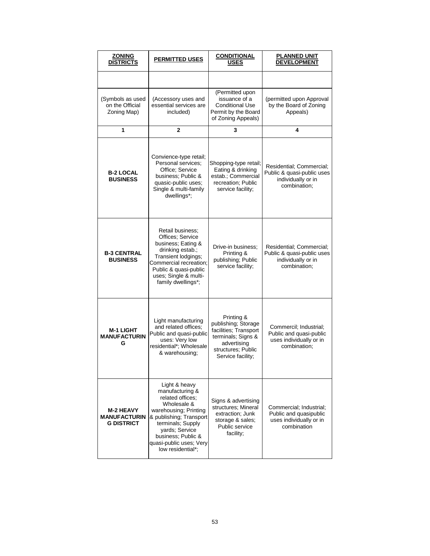| <b>ZONING</b><br><b>DISTRICTS</b>                            | <b>PERMITTED USES</b>                                                                                                                                                                                                                | <b>CONDITIONAL</b><br><b>USES</b>                                                                                                          | <b>PLANNED UNIT</b><br><b>DEVELOPMENT</b>                                                    |  |  |
|--------------------------------------------------------------|--------------------------------------------------------------------------------------------------------------------------------------------------------------------------------------------------------------------------------------|--------------------------------------------------------------------------------------------------------------------------------------------|----------------------------------------------------------------------------------------------|--|--|
|                                                              |                                                                                                                                                                                                                                      |                                                                                                                                            |                                                                                              |  |  |
| (Symbols as used<br>on the Official<br>Zoning Map)           | (Accessory uses and<br>essential services are<br>included)                                                                                                                                                                           | (Permitted upon<br>issuance of a<br><b>Conditional Use</b><br>Permit by the Board<br>of Zoning Appeals)                                    | (permitted upon Approval<br>by the Board of Zoning<br>Appeals)                               |  |  |
| 1                                                            | $\overline{2}$                                                                                                                                                                                                                       | 3                                                                                                                                          | 4                                                                                            |  |  |
| <b>B-2 LOCAL</b><br><b>BUSINESS</b>                          | Convience-type retail;<br>Personal services;<br>Office; Service<br>business; Public &<br>quasic-public uses;<br>Single & multi-family<br>dwellings*;                                                                                 | Shopping-type retail;<br>Eating & drinking<br>estab.; Commercial<br>recreation; Public<br>service facility;                                | Residential; Commercial;<br>Public & quasi-public uses<br>individually or in<br>combination; |  |  |
| <b>B-3 CENTRAL</b><br><b>BUSINESS</b>                        | Retail business:<br>Offices; Service<br>business; Eating &<br>drinking estab.;<br>Transient lodgings;<br>Commercial recreation;<br>Public & quasi-public<br>uses; Single & multi-<br>family dwellings*;                              | Drive-in business:<br>Printing &<br>publishing; Public<br>service facility;                                                                | Residential; Commercial;<br>Public & quasi-public uses<br>individually or in<br>combination; |  |  |
| <b>M-1 LIGHT</b><br><b>MANUFACTURIN</b><br>G                 | Light manufacturing<br>and related offices:<br>Public and quasi-public<br>uses: Very low<br>residential*; Wholesale<br>& warehousing;                                                                                                | Printing &<br>publishing; Storage<br>facilities; Transport<br>terminals; Signs &<br>advertising<br>structures: Public<br>Service facility; | Commercil: Industrial:<br>Public and quasi-public<br>uses individually or in<br>combination; |  |  |
| <b>M-2 HEAVY</b><br><b>MANUFACTURIN</b><br><b>G DISTRICT</b> | Light & heavy<br>manufacturing &<br>related offices;<br>Wholesale &<br>warehousing; Printing<br>& publishing; Transport<br>terminals; Supply<br>yards; Service<br>business: Public &<br>quasi-public uses; Very<br>low residential*: | Signs & advertising<br>structures: Mineral<br>extraction; Junk<br>storage & sales;<br>Public service<br>facility;                          | Commercial; Industrial;<br>Public and quasipublic<br>uses individually or in<br>combination  |  |  |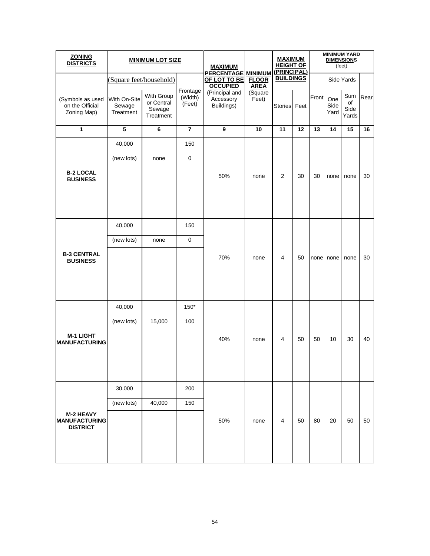| <b>ZONING</b><br><b>DISTRICTS</b>                           |                                     | <b>MINIMUM LOT SIZE</b>                         |                               | <b>MAXIMUM</b>                            | <b>PERCENTAGE MINIMUM</b><br><b>FLOOR</b><br><b>AREA</b><br>(Square<br>Feet) | <b>MAXIMUM</b><br><b>HEIGHT OF</b><br>(PRINCIPAL) |      | <b>MINIMUM YARD</b><br><b>DIMENSIONS</b><br>(feet) |                     |                            |      |
|-------------------------------------------------------------|-------------------------------------|-------------------------------------------------|-------------------------------|-------------------------------------------|------------------------------------------------------------------------------|---------------------------------------------------|------|----------------------------------------------------|---------------------|----------------------------|------|
|                                                             | (Square feet/household)             |                                                 |                               | OF LOT TO BE<br><b>OCCUPIED</b>           |                                                                              | <b>BUILDINGS</b>                                  |      |                                                    | Side Yards          |                            |      |
| (Symbols as used<br>on the Official<br>Zoning Map)          | With On-Site<br>Sewage<br>Treatment | With Group<br>or Central<br>Sewage<br>Treatment | Frontage<br>(Width)<br>(Feet) | (Principal and<br>Accessory<br>Buildings) |                                                                              | <b>Stories</b>                                    | Feet | Front                                              | One<br>Side<br>Yard | Sum<br>of<br>Side<br>Yards | Rear |
| 1                                                           | 5                                   | 6                                               | $\overline{7}$                | 9                                         | 10                                                                           | 11                                                | 12   | 13                                                 | 14                  | 15                         | 16   |
|                                                             | 40,000                              |                                                 | 150                           |                                           |                                                                              |                                                   |      | 30                                                 | none                |                            |      |
|                                                             | (new lots)                          | none                                            | $\boldsymbol{0}$              |                                           |                                                                              |                                                   |      |                                                    |                     |                            |      |
| <b>B-2 LOCAL</b><br><b>BUSINESS</b>                         |                                     |                                                 |                               | 50%                                       | none                                                                         | 2                                                 | 30   |                                                    |                     | none                       | 30   |
| <b>B-3 CENTRAL</b><br><b>BUSINESS</b>                       | 40,000                              |                                                 | 150                           |                                           | none                                                                         | 4                                                 | 50   | none                                               | none                | none                       | 30   |
|                                                             | (new lots)                          | none                                            | 0                             |                                           |                                                                              |                                                   |      |                                                    |                     |                            |      |
|                                                             |                                     |                                                 |                               | 70%                                       |                                                                              |                                                   |      |                                                    |                     |                            |      |
|                                                             | 40,000                              |                                                 | $150*$                        |                                           |                                                                              |                                                   |      |                                                    |                     |                            |      |
|                                                             | (new lots)                          | 15,000                                          | 100                           |                                           |                                                                              |                                                   |      |                                                    |                     |                            |      |
| <b>M-1 LIGHT</b><br><b>MANUFACTURING</b>                    |                                     |                                                 |                               | 40%                                       | none                                                                         | 4                                                 | 50   | 50                                                 | 10                  | 30                         | 40   |
|                                                             | 30,000                              |                                                 | 200                           |                                           |                                                                              |                                                   |      |                                                    |                     |                            |      |
|                                                             | (new lots)                          | 40,000                                          | 150                           |                                           |                                                                              |                                                   |      |                                                    |                     |                            |      |
| <b>M-2 HEAVY</b><br><b>MANUFACTURING</b><br><b>DISTRICT</b> |                                     |                                                 |                               | 50%                                       | none                                                                         | 4                                                 | 50   | 80                                                 | 20                  | 50                         | 50   |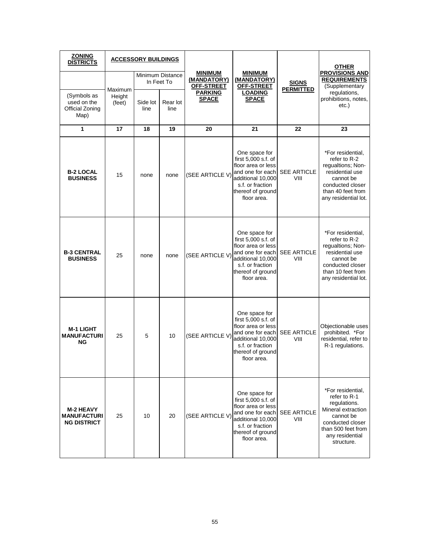| <b>ZONING</b><br><b>DISTRICTS</b>                            |                  | <b>ACCESSORY BUILDINGS</b> |                  |                                             |                                                                                                                                                                           |                                  | <b>OTHER</b>                                                                                                                                                    |  |
|--------------------------------------------------------------|------------------|----------------------------|------------------|---------------------------------------------|---------------------------------------------------------------------------------------------------------------------------------------------------------------------------|----------------------------------|-----------------------------------------------------------------------------------------------------------------------------------------------------------------|--|
|                                                              | Maximum          | In Feet To                 | Minimum Distance | <b>MINIMUM</b><br>(MANDATORY)<br>OFF-STREET | <b>MINIMUM</b><br>(MANDATORY)<br>OFF-STREET                                                                                                                               | <b>SIGNS</b><br><b>PERMITTED</b> | <b>PROVISIONS AND</b><br><b>REQUIREMENTS</b><br>(Supplementary                                                                                                  |  |
| (Symbols as<br>used on the<br>Official Zoning<br>Map)        | Height<br>(feet) | Side lot<br>line           | Rear lot<br>line | <b>PARKING</b><br><b>SPACE</b>              | <b>LOADING</b><br><b>SPACE</b>                                                                                                                                            |                                  | regulations,<br>prohibitions, notes,<br>$etc.$ )                                                                                                                |  |
| 1                                                            | 17               | 18                         | 19               | 20                                          | 21                                                                                                                                                                        | 22                               | 23                                                                                                                                                              |  |
| <b>B-2 LOCAL</b><br><b>BUSINESS</b>                          | 15               | none                       | none             | (SEE ARTICLE V)                             | One space for<br>first $5,000$ s.f. of<br>floor area or less<br>and one for each SEE ARTICLE<br>additional 10,000<br>s.f. or fraction<br>thereof of ground<br>floor area. | VIII                             | *For residential,<br>refer to R-2<br>regualtions; Non-<br>residential use<br>cannot be<br>conducted closer<br>than 40 feet from<br>any residential lot.         |  |
| <b>B-3 CENTRAL</b><br><b>BUSINESS</b>                        | 25               | none                       | none             | (SEE ARTICLE V)                             | One space for<br>first $5,000$ s.f. of<br>floor area or less<br>and one for each<br>additional 10,000<br>s.f. or fraction<br>thereof of ground<br>floor area.             | SEE ARTICLE<br>VIII              | *For residential,<br>refer to R-2<br>requaltions; Non-<br>residential use<br>cannot be<br>conducted closer<br>than 10 feet from<br>any residential lot.         |  |
| <b>M-1 LIGHT</b><br><b>MANUFACTURI</b><br>ΝG                 | 25               | 5                          | 10               | (SEE ARTICLE V)                             | One space for<br>first 5,000 s.f. of<br>floor area or less<br>and one for each<br>additional 10,000<br>s.f. or fraction<br>thereof of ground<br>floor area.               | <b>SEE ARTICLE</b><br>VIII       | Objectionable uses<br>prohibited. *For<br>residential, refer to<br>R-1 regulations.                                                                             |  |
| <b>M-2 HEAVY</b><br><b>MANUFACTURI</b><br><b>NG DISTRICT</b> | 25               | 10                         | 20               | (SEE ARTICLE V)                             | One space for<br>first 5,000 s.f. of<br>floor area or less<br>and one for each SEE ARTICLE<br>additional 10,000<br>s.f. or fraction<br>thereof of ground<br>floor area.   | VIII                             | *For residential.<br>refer to R-1<br>regulations.<br>Mineral extraction<br>cannot be<br>conducted closer<br>than 500 feet from<br>any residential<br>structure. |  |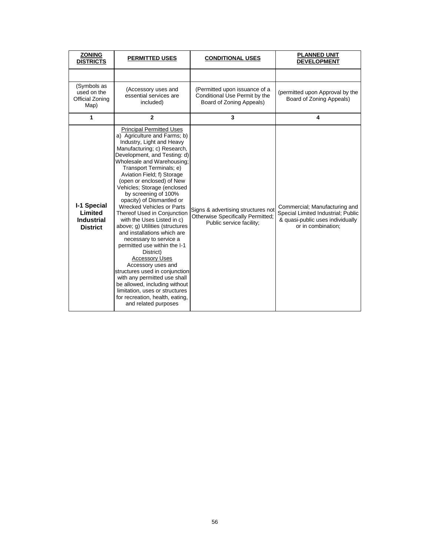| <b>ZONING</b><br><b>DISTRICTS</b>                                     | <b>PERMITTED USES</b>                                                                                                                                                                                                                                                                                                                                                                                                                                                                                                                                                                                                                                                                                                                                                                                                                                        | <b>CONDITIONAL USES</b>                                                                             | <b>PLANNED UNIT</b><br><b>DEVELOPMENT</b>                                                                                     |
|-----------------------------------------------------------------------|--------------------------------------------------------------------------------------------------------------------------------------------------------------------------------------------------------------------------------------------------------------------------------------------------------------------------------------------------------------------------------------------------------------------------------------------------------------------------------------------------------------------------------------------------------------------------------------------------------------------------------------------------------------------------------------------------------------------------------------------------------------------------------------------------------------------------------------------------------------|-----------------------------------------------------------------------------------------------------|-------------------------------------------------------------------------------------------------------------------------------|
|                                                                       |                                                                                                                                                                                                                                                                                                                                                                                                                                                                                                                                                                                                                                                                                                                                                                                                                                                              |                                                                                                     |                                                                                                                               |
| (Symbols as<br>used on the<br>Official Zoning<br>Map)                 | (Accessory uses and<br>essential services are<br>included)                                                                                                                                                                                                                                                                                                                                                                                                                                                                                                                                                                                                                                                                                                                                                                                                   | (Permitted upon issuance of a<br>Conditional Use Permit by the<br>Board of Zoning Appeals)          | (permitted upon Approval by the<br>Board of Zoning Appeals)                                                                   |
| 1                                                                     | $\mathbf{2}$                                                                                                                                                                                                                                                                                                                                                                                                                                                                                                                                                                                                                                                                                                                                                                                                                                                 | 3                                                                                                   | 4                                                                                                                             |
| <b>I-1 Special</b><br>Limited<br><b>Industrial</b><br><b>District</b> | <b>Principal Permitted Uses</b><br>a) Agriculture and Farms; b)<br>Industry, Light and Heavy<br>Manufacturing; c) Research,<br>Development, and Testing: d)<br>Wholesale and Warehousing;<br>Transport Terminals; e)<br>Aviation Field; f) Storage<br>(open or enclosed) of New<br>Vehicles; Storage (enclosed<br>by screening of 100%<br>opacity) of Dismantled or<br><b>Wrecked Vehicles or Parts</b><br>Thereof Used in Conjunction<br>with the Uses Listed in c)<br>above; g) Utilities (structures<br>and installations which are<br>necessary to service a<br>permitted use within the I-1<br>District)<br><b>Accessory Uses</b><br>Accessory uses and<br>structures used in conjunction<br>with any permitted use shall<br>be allowed, including without<br>limitation, uses or structures<br>for recreation, health, eating,<br>and related purposes | Signs & advertising structures not<br>Otherwise Specifically Permitted;<br>Public service facility; | Commercial; Manufacturing and<br>Special Limited Industrial; Public<br>& quasi-public uses individually<br>or in combination; |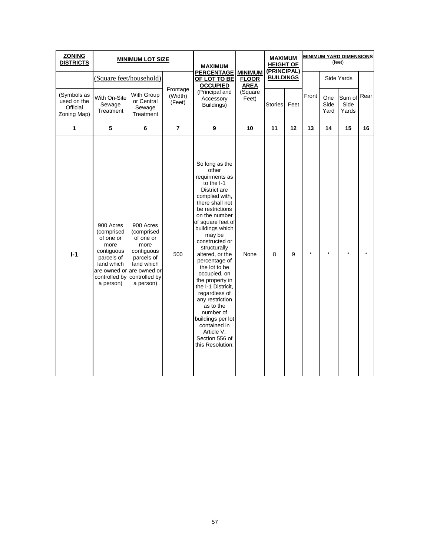| <b>ZONING</b><br><b>DISTRICTS</b>                     |                                                                                                                                                   | <b>MINIMUM LOT SIZE</b>                                                                                              |                               | <b>MAXIMUM</b><br><b>PERCENTAGE</b><br>OF LOT TO BE<br><b>OCCUPIED</b><br>(Principal and<br>Accessory<br>Buildings)                                                                                                                                                                                                                                                                                                                                                                                       |                                               | <b>MAXIMUM</b><br><b>HEIGHT OF</b><br>(PRINCIPAL) |      | <b>MINIMUM YARD DIMENSIONS</b><br>(feet) |                     |                         |      |  |
|-------------------------------------------------------|---------------------------------------------------------------------------------------------------------------------------------------------------|----------------------------------------------------------------------------------------------------------------------|-------------------------------|-----------------------------------------------------------------------------------------------------------------------------------------------------------------------------------------------------------------------------------------------------------------------------------------------------------------------------------------------------------------------------------------------------------------------------------------------------------------------------------------------------------|-----------------------------------------------|---------------------------------------------------|------|------------------------------------------|---------------------|-------------------------|------|--|
|                                                       | (Square feet/household)                                                                                                                           |                                                                                                                      |                               |                                                                                                                                                                                                                                                                                                                                                                                                                                                                                                           | <b>MINIMUM</b><br><b>FLOOR</b><br><b>AREA</b> | <b>BUILDINGS</b>                                  |      |                                          | Side Yards          |                         |      |  |
| (Symbols as<br>used on the<br>Official<br>Zoning Map) | With On-Site<br>Sewage<br>Treatment                                                                                                               | With Group<br>or Central<br>Sewage<br>Treatment                                                                      | Frontage<br>(Width)<br>(Feet) |                                                                                                                                                                                                                                                                                                                                                                                                                                                                                                           | (Square<br>Feet)                              | Stories                                           | Feet | Front                                    | One<br>Side<br>Yard | Sum of<br>Side<br>Yards | Rear |  |
| 1                                                     | 5                                                                                                                                                 | $\bf 6$                                                                                                              | $\overline{7}$                | 9                                                                                                                                                                                                                                                                                                                                                                                                                                                                                                         | 10                                            | 11                                                | 12   | 13                                       | 14                  | 15                      | 16   |  |
| $I-1$                                                 | 900 Acres<br>(comprised<br>of one or<br>more<br>contiguous<br>parcels of<br>land which<br>are owned or are owned or<br>controlled by<br>a person) | 900 Acres<br>(comprised<br>of one or<br>more<br>contiguous<br>parcels of<br>land which<br>controlled by<br>a person) | 500                           | So long as the<br>other<br>requirments as<br>to the I-1<br>District are<br>complied with,<br>there shall not<br>be restrictions<br>on the number<br>of square feet of<br>buildings which<br>may be<br>constructed or<br>structurally<br>altered, or the<br>percentage of<br>the lot to be<br>occupied, on<br>the property in<br>the I-1 Districit,<br>regardless of<br>any restriction<br>as to the<br>number of<br>buildings per lot<br>contained in<br>Article V.<br>Section 556 of<br>this Resolution; | None                                          | 8                                                 | 9    |                                          |                     |                         |      |  |